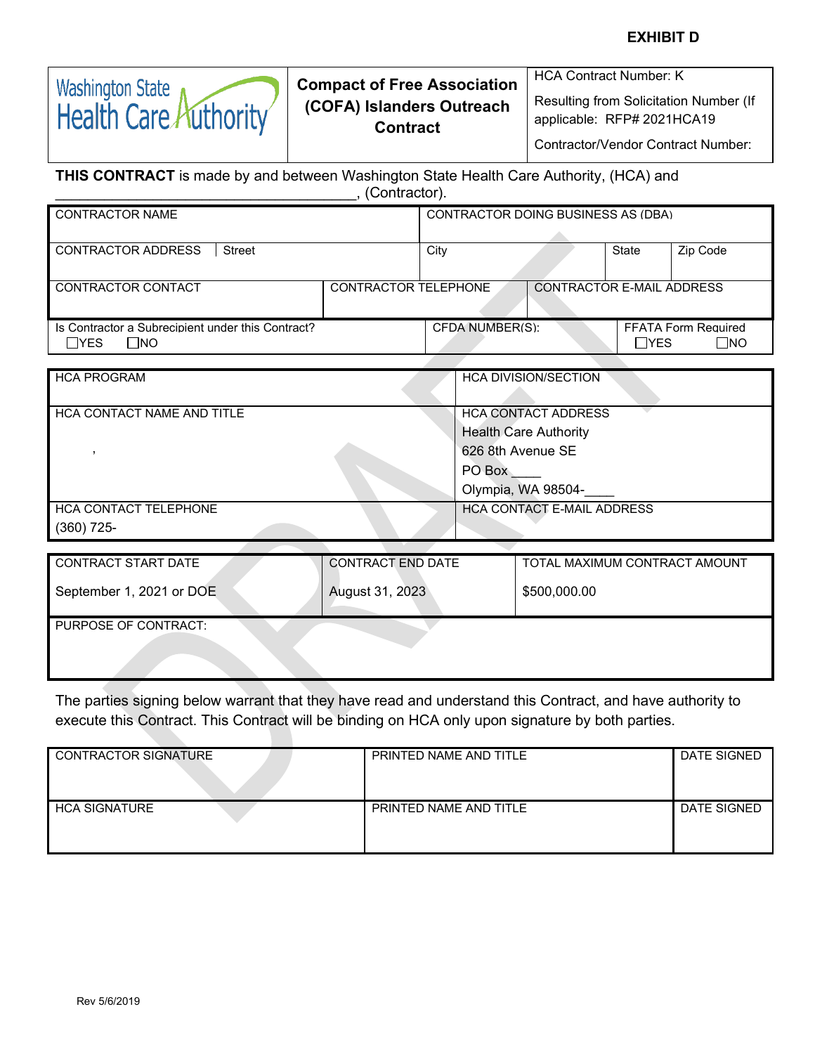#### **EXHIBIT D**

| <b>Compact of Free Association</b><br>(COFA) Islanders Outreach<br><b>Contract</b> |
|------------------------------------------------------------------------------------|
|                                                                                    |

Resulting from Solicitation Number (If applicable: RFP# 2021HCA19

HCA Contract Number: K

Contractor/Vendor Contract Number:

#### **THIS CONTRACT** is made by and between Washington State Health Care Authority, (HCA) and \_\_\_\_\_\_\_\_\_\_\_\_\_\_\_\_\_\_\_\_\_\_\_\_\_\_\_\_\_\_\_\_\_\_\_\_\_, (Contractor).

| _ _                                                                      |                             |                                    |                                  |              |                                            |
|--------------------------------------------------------------------------|-----------------------------|------------------------------------|----------------------------------|--------------|--------------------------------------------|
| CONTRACTOR NAME                                                          |                             | CONTRACTOR DOING BUSINESS AS (DBA) |                                  |              |                                            |
| CONTRACTOR ADDRESS<br>Street                                             |                             | City                               |                                  | State        | Zip Code                                   |
|                                                                          |                             |                                    |                                  |              |                                            |
| CONTRACTOR CONTACT                                                       | <b>CONTRACTOR TELEPHONE</b> |                                    | <b>CONTRACTOR E-MAIL ADDRESS</b> |              |                                            |
| Is Contractor a Subrecipient under this Contract?<br>$\sqcap$ YES<br>∃NO |                             | CFDA NUMBER(S):                    |                                  | $\sqcap$ YES | <b>FFATA Form Required</b><br>$\square$ NO |

| <b>HCA PROGRAM</b>         | <b>HCA DIVISION/SECTION</b>       |
|----------------------------|-----------------------------------|
|                            |                                   |
| HCA CONTACT NAME AND TITLE | <b>HCA CONTACT ADDRESS</b>        |
|                            | <b>Health Care Authority</b>      |
|                            | 626 8th Avenue SE                 |
|                            | PO Box                            |
|                            | Olympia, WA 98504-                |
| HCA CONTACT TELEPHONE      | <b>HCA CONTACT E-MAIL ADDRESS</b> |
| $(360)$ 725-               |                                   |

| CONTRACT START DATE      | <b>CONTRACT END DATE</b> | TOTAL MAXIMUM CONTRACT AMOUNT |  |  |
|--------------------------|--------------------------|-------------------------------|--|--|
| September 1, 2021 or DOE | August 31, 2023          | \$500,000.00                  |  |  |
| PURPOSE OF CONTRACT:     |                          |                               |  |  |
|                          |                          |                               |  |  |

The parties signing below warrant that they have read and understand this Contract, and have authority to execute this Contract. This Contract will be binding on HCA only upon signature by both parties.

| CONTRACTOR SIGNATURE | PRINTED NAME AND TITLE | DATE SIGNED |
|----------------------|------------------------|-------------|
| <b>HCA SIGNATURE</b> | PRINTED NAME AND TITLE | DATE SIGNED |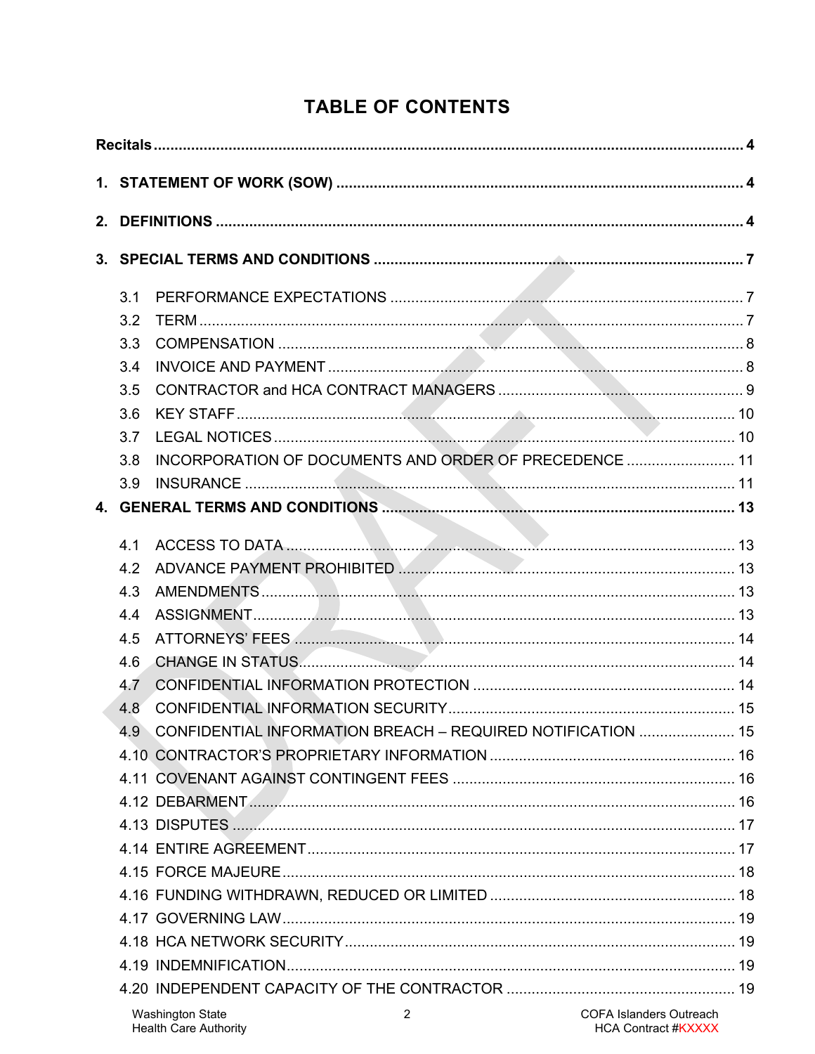# **TABLE OF CONTENTS**

| 3.1 |                                                             |                                |
|-----|-------------------------------------------------------------|--------------------------------|
| 3.2 |                                                             |                                |
| 3.3 |                                                             |                                |
| 3.4 |                                                             |                                |
| 3.5 |                                                             |                                |
| 3.6 |                                                             |                                |
| 3.7 |                                                             |                                |
| 3.8 | INCORPORATION OF DOCUMENTS AND ORDER OF PRECEDENCE  11      |                                |
| 3.9 |                                                             |                                |
|     |                                                             |                                |
| 4.1 |                                                             |                                |
| 4.2 | ADVANCE PAYMENT PROHIBITED MARIO MARINE AND ANNUAL METAL 13 |                                |
| 4.3 |                                                             |                                |
| 4.4 |                                                             |                                |
| 4.5 |                                                             |                                |
| 4.6 |                                                             |                                |
| 4.7 |                                                             |                                |
| 4.8 |                                                             |                                |
| 4.9 | CONFIDENTIAL INFORMATION BREACH - REQUIRED NOTIFICATION  15 |                                |
|     |                                                             |                                |
|     |                                                             |                                |
|     |                                                             |                                |
|     |                                                             |                                |
|     |                                                             |                                |
|     |                                                             |                                |
|     |                                                             |                                |
|     |                                                             |                                |
|     |                                                             |                                |
|     |                                                             |                                |
|     |                                                             |                                |
|     | <b>Washington State</b><br>2                                | <b>COFA Islanders Outreach</b> |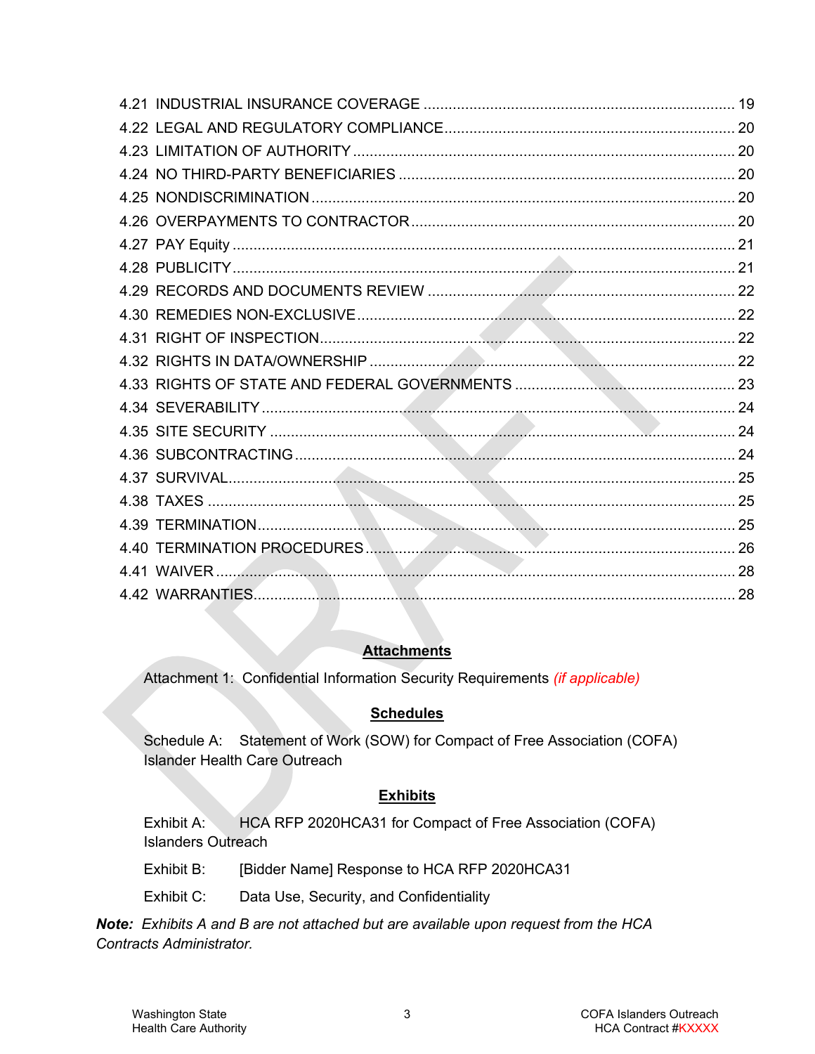### **Attachments**

Attachment 1: Confidential Information Security Requirements *(if applicable)*

# **Schedules**

Schedule A: Statement of Work (SOW) for Compact of Free Association (COFA) Islander Health Care Outreach

### **Exhibits**

Exhibit A: HCA RFP 2020HCA31 for Compact of Free Association (COFA) Islanders Outreach

Exhibit B: [Bidder Name] Response to HCA RFP 2020HCA31

Exhibit C: Data Use, Security, and Confidentiality

*Note: Exhibits A and B are not attached but are available upon request from the HCA Contracts Administrator.*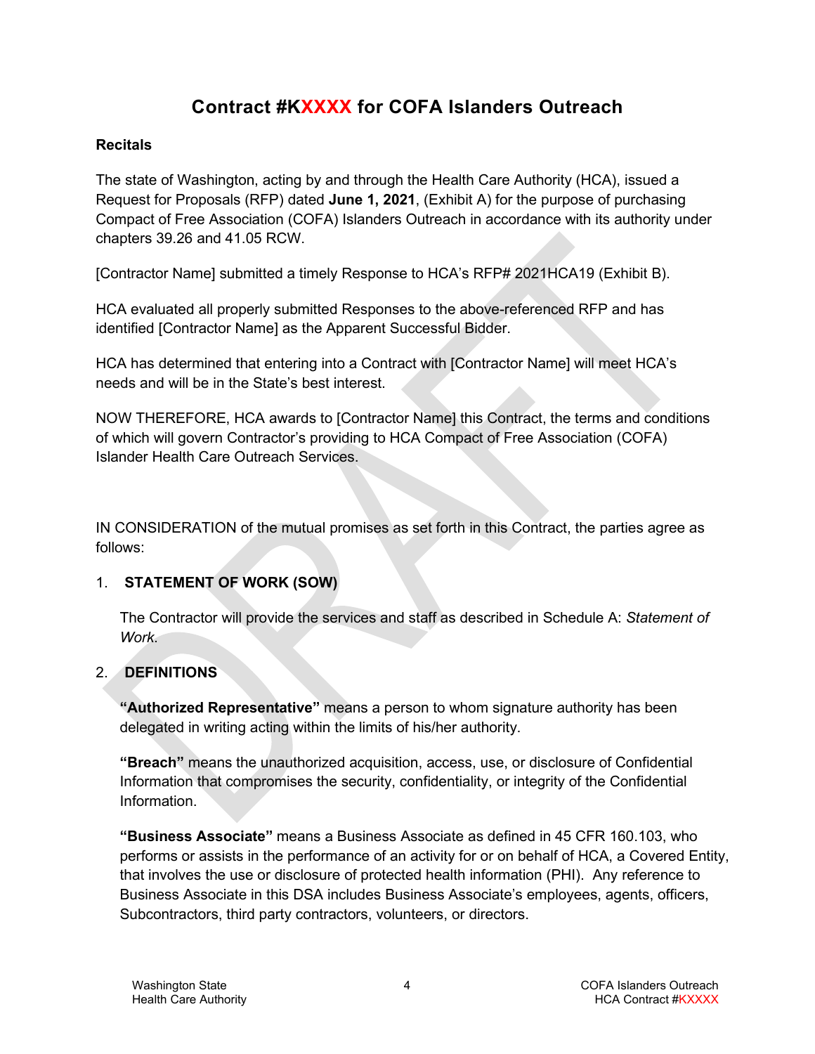# **Contract #KXXXX for COFA Islanders Outreach**

### <span id="page-3-0"></span>**Recitals**

The state of Washington, acting by and through the Health Care Authority (HCA), issued a Request for Proposals (RFP) dated **June 1, 2021**, (Exhibit A) for the purpose of purchasing Compact of Free Association (COFA) Islanders Outreach in accordance with its authority under chapters 39.26 and 41.05 RCW.

[Contractor Name] submitted a timely Response to HCA's RFP# 2021HCA19 (Exhibit B).

HCA evaluated all properly submitted Responses to the above-referenced RFP and has identified [Contractor Name] as the Apparent Successful Bidder.

HCA has determined that entering into a Contract with [Contractor Name] will meet HCA's needs and will be in the State's best interest.

NOW THEREFORE, HCA awards to [Contractor Name] this Contract, the terms and conditions of which will govern Contractor's providing to HCA Compact of Free Association (COFA) Islander Health Care Outreach Services.

IN CONSIDERATION of the mutual promises as set forth in this Contract, the parties agree as follows:

# <span id="page-3-1"></span>1. **STATEMENT OF WORK (SOW)**

The Contractor will provide the services and staff as described in Schedule A: *Statement of Work*.

# <span id="page-3-2"></span>2. **DEFINITIONS**

**"Authorized Representative"** means a person to whom signature authority has been delegated in writing acting within the limits of his/her authority.

**"Breach"** means the unauthorized acquisition, access, use, or disclosure of Confidential Information that compromises the security, confidentiality, or integrity of the Confidential Information.

**"Business Associate"** means a Business Associate as defined in 45 CFR 160.103, who performs or assists in the performance of an activity for or on behalf of HCA, a Covered Entity, that involves the use or disclosure of protected health information (PHI). Any reference to Business Associate in this DSA includes Business Associate's employees, agents, officers, Subcontractors, third party contractors, volunteers, or directors.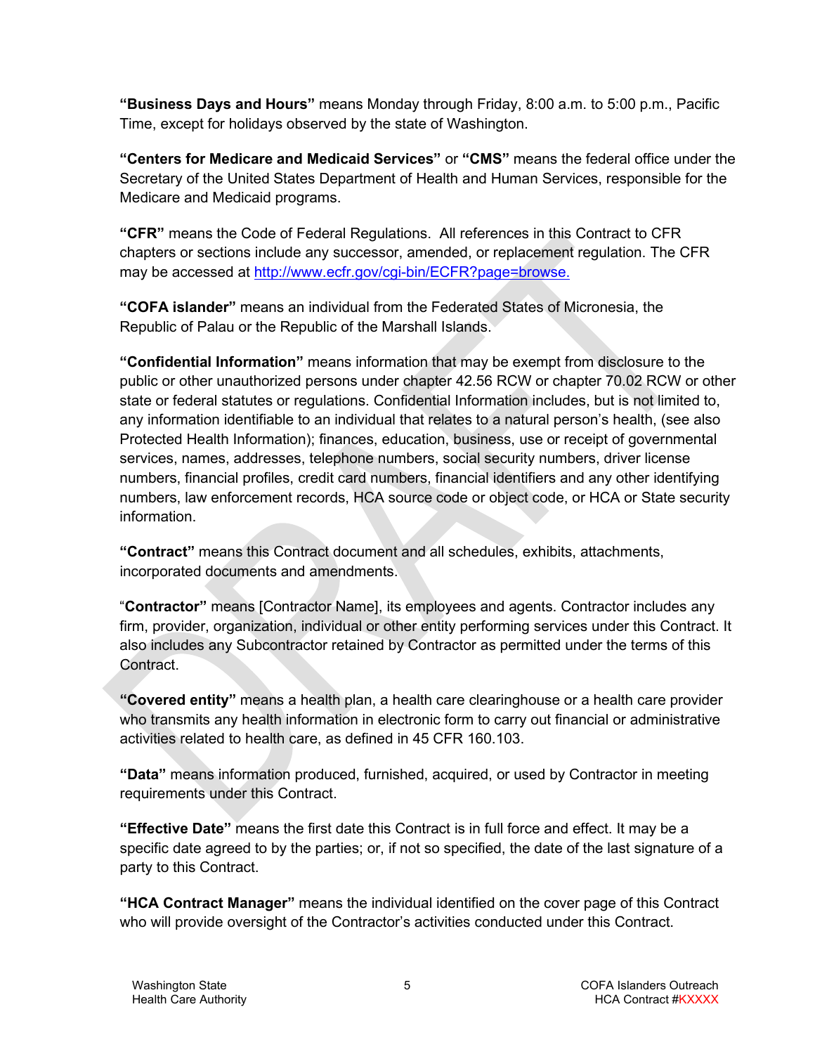**"Business Days and Hours"** means Monday through Friday, 8:00 a.m. to 5:00 p.m., Pacific Time, except for holidays observed by the state of Washington.

**"Centers for Medicare and Medicaid Services"** or **"CMS"** means the federal office under the Secretary of the United States Department of Health and Human Services, responsible for the Medicare and Medicaid programs.

**"CFR"** means the Code of Federal Regulations. All references in this Contract to CFR chapters or sections include any successor, amended, or replacement regulation. The CFR may be accessed at [http://www.ecfr.gov/cgi-bin/ECFR?page=browse.](http://www.ecfr.gov/cgi-bin/ECFR?page=browse)

**"COFA islander"** means an individual from the Federated States of Micronesia, the Republic of Palau or the Republic of the Marshall Islands.

**"Confidential Information"** means information that may be exempt from disclosure to the public or other unauthorized persons under chapter 42.56 RCW or chapter 70.02 RCW or other state or federal statutes or regulations. Confidential Information includes, but is not limited to, any information identifiable to an individual that relates to a natural person's health, (see also Protected Health Information); finances, education, business, use or receipt of governmental services, names, addresses, telephone numbers, social security numbers, driver license numbers, financial profiles, credit card numbers, financial identifiers and any other identifying numbers, law enforcement records, HCA source code or object code, or HCA or State security information.

**"Contract"** means this Contract document and all schedules, exhibits, attachments, incorporated documents and amendments.

"**Contractor"** means [Contractor Name], its employees and agents. Contractor includes any firm, provider, organization, individual or other entity performing services under this Contract. It also includes any Subcontractor retained by Contractor as permitted under the terms of this Contract.

**"Covered entity"** means a health plan, a health care clearinghouse or a health care provider who transmits any health information in electronic form to carry out financial or administrative activities related to health care, as defined in 45 CFR 160.103.

**"Data"** means information produced, furnished, acquired, or used by Contractor in meeting requirements under this Contract.

**"Effective Date"** means the first date this Contract is in full force and effect. It may be a specific date agreed to by the parties; or, if not so specified, the date of the last signature of a party to this Contract.

**"HCA Contract Manager"** means the individual identified on the cover page of this Contract who will provide oversight of the Contractor's activities conducted under this Contract.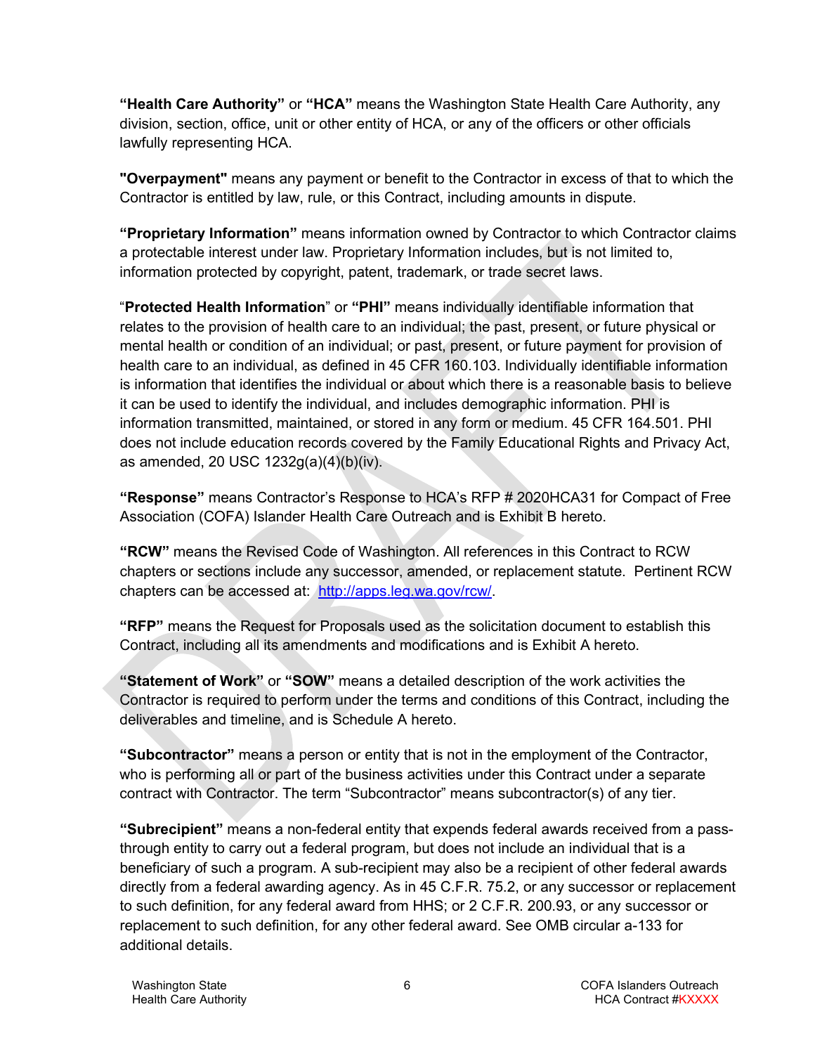**"Health Care Authority"** or **"HCA"** means the Washington State Health Care Authority, any division, section, office, unit or other entity of HCA, or any of the officers or other officials lawfully representing HCA.

**"Overpayment"** means any payment or benefit to the Contractor in excess of that to which the Contractor is entitled by law, rule, or this Contract, including amounts in dispute.

**"Proprietary Information"** means information owned by Contractor to which Contractor claims a protectable interest under law. Proprietary Information includes, but is not limited to, information protected by copyright, patent, trademark, or trade secret laws.

"**Protected Health Information**" or **"PHI"** means individually identifiable information that relates to the provision of health care to an individual; the past, present, or future physical or mental health or condition of an individual; or past, present, or future payment for provision of health care to an individual, as defined in 45 CFR 160.103. Individually identifiable information is information that identifies the individual or about which there is a reasonable basis to believe it can be used to identify the individual, and includes demographic information. PHI is information transmitted, maintained, or stored in any form or medium. 45 CFR 164.501. PHI does not include education records covered by the Family Educational Rights and Privacy Act, as amended, 20 USC 1232g(a)(4)(b)(iv).

**"Response"** means Contractor's Response to HCA's RFP # 2020HCA31 for Compact of Free Association (COFA) Islander Health Care Outreach and is Exhibit B hereto.

**"RCW"** means the Revised Code of Washington. All references in this Contract to RCW chapters or sections include any successor, amended, or replacement statute. Pertinent RCW chapters can be accessed at: [http://apps.leg.wa.gov/rcw/.](http://apps.leg.wa.gov/rcw/)

**"RFP"** means the Request for Proposals used as the solicitation document to establish this Contract, including all its amendments and modifications and is Exhibit A hereto.

**"Statement of Work"** or **"SOW"** means a detailed description of the work activities the Contractor is required to perform under the terms and conditions of this Contract, including the deliverables and timeline, and is Schedule A hereto.

**"Subcontractor"** means a person or entity that is not in the employment of the Contractor, who is performing all or part of the business activities under this Contract under a separate contract with Contractor. The term "Subcontractor" means subcontractor(s) of any tier.

**"Subrecipient"** means a non-federal entity that expends federal awards received from a passthrough entity to carry out a federal program, but does not include an individual that is a beneficiary of such a program. A sub-recipient may also be a recipient of other federal awards directly from a federal awarding agency. As in 45 C.F.R. 75.2, or any successor or replacement to such definition, for any federal award from HHS; or 2 C.F.R. 200.93, or any successor or replacement to such definition, for any other federal award. See OMB circular a-133 for additional details.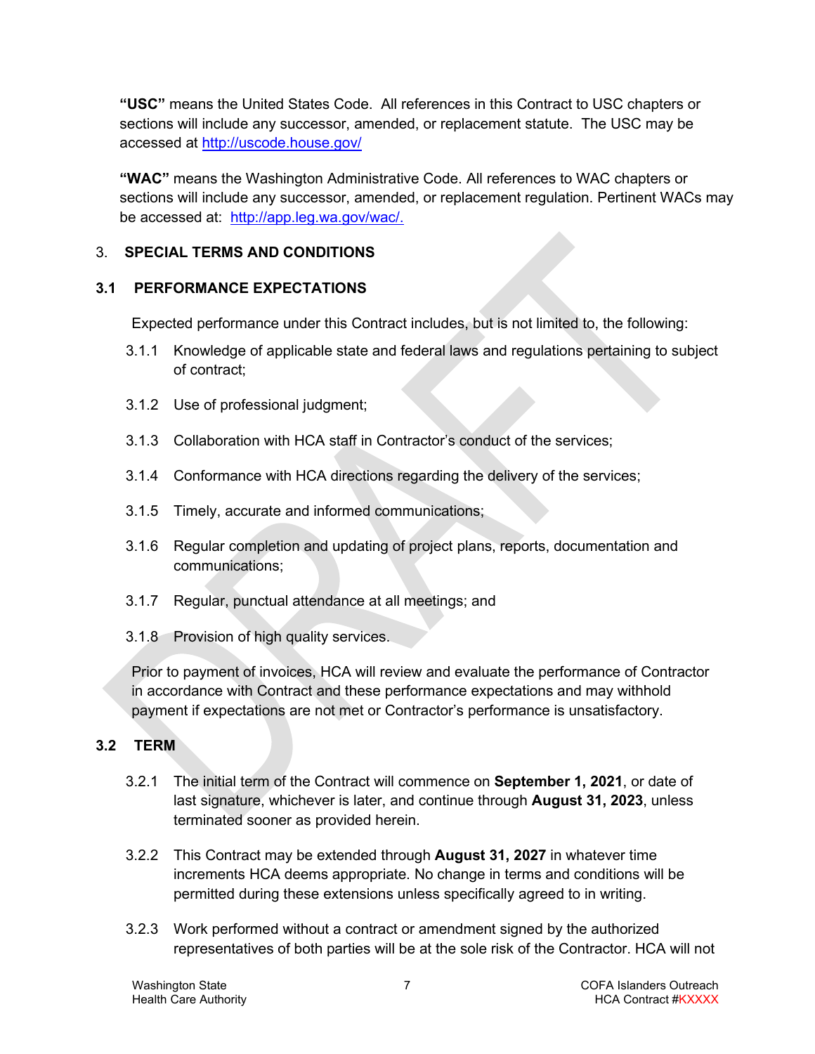**"USC"** means the United States Code. All references in this Contract to USC chapters or sections will include any successor, amended, or replacement statute. The USC may be accessed at<http://uscode.house.gov/>

**"WAC"** means the Washington Administrative Code. All references to WAC chapters or sections will include any successor, amended, or replacement regulation. Pertinent WACs may be accessed at: [http://app.leg.wa.gov/wac/.](http://app.leg.wa.gov/wac/)

# <span id="page-6-0"></span>3. **SPECIAL TERMS AND CONDITIONS**

# <span id="page-6-1"></span>**3.1 PERFORMANCE EXPECTATIONS**

Expected performance under this Contract includes, but is not limited to, the following:

- 3.1.1 Knowledge of applicable state and federal laws and regulations pertaining to subject of contract;
- 3.1.2 Use of professional judgment;
- 3.1.3 Collaboration with HCA staff in Contractor's conduct of the services;
- 3.1.4 Conformance with HCA directions regarding the delivery of the services;
- 3.1.5 Timely, accurate and informed communications;
- 3.1.6 Regular completion and updating of project plans, reports, documentation and communications;
- 3.1.7 Regular, punctual attendance at all meetings; and
- 3.1.8 Provision of high quality services.

Prior to payment of invoices, HCA will review and evaluate the performance of Contractor in accordance with Contract and these performance expectations and may withhold payment if expectations are not met or Contractor's performance is unsatisfactory.

# <span id="page-6-2"></span>**3.2 TERM**

- 3.2.1 The initial term of the Contract will commence on **September 1, 2021**, or date of last signature, whichever is later, and continue through **August 31, 2023**, unless terminated sooner as provided herein.
- 3.2.2 This Contract may be extended through **August 31, 2027** in whatever time increments HCA deems appropriate. No change in terms and conditions will be permitted during these extensions unless specifically agreed to in writing.
- 3.2.3 Work performed without a contract or amendment signed by the authorized representatives of both parties will be at the sole risk of the Contractor. HCA will not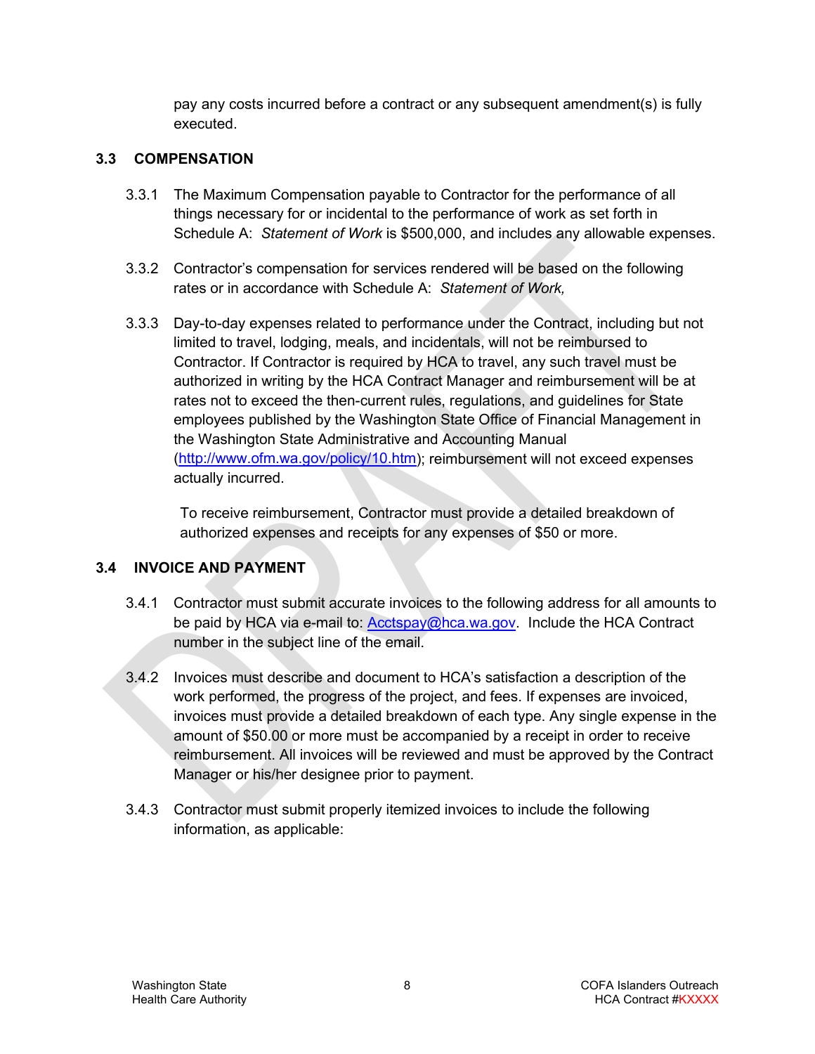pay any costs incurred before a contract or any subsequent amendment(s) is fully executed.

### <span id="page-7-0"></span>**3.3 COMPENSATION**

- 3.3.1 The Maximum Compensation payable to Contractor for the performance of all things necessary for or incidental to the performance of work as set forth in Schedule A: *Statement of Work* is \$500,000, and includes any allowable expenses.
- 3.3.2 Contractor's compensation for services rendered will be based on the following rates or in accordance with Schedule A: *Statement of Work,*
- 3.3.3 Day-to-day expenses related to performance under the Contract, including but not limited to travel, lodging, meals, and incidentals, will not be reimbursed to Contractor. If Contractor is required by HCA to travel, any such travel must be authorized in writing by the HCA Contract Manager and reimbursement will be at rates not to exceed the then-current rules, regulations, and guidelines for State employees published by the Washington State Office of Financial Management in the Washington State Administrative and Accounting Manual [\(http://www.ofm.wa.gov/policy/10.htm\)](http://www.ofm.wa.gov/policy/10.htm); reimbursement will not exceed expenses actually incurred.

To receive reimbursement, Contractor must provide a detailed breakdown of authorized expenses and receipts for any expenses of \$50 or more.

# <span id="page-7-1"></span>**3.4 INVOICE AND PAYMENT**

- 3.4.1 Contractor must submit accurate invoices to the following address for all amounts to be paid by HCA via e-mail to: [Acctspay@hca.wa.gov.](mailto:Acctspay@hca.wa.gov) Include the HCA Contract number in the subject line of the email.
- 3.4.2 Invoices must describe and document to HCA's satisfaction a description of the work performed, the progress of the project, and fees. If expenses are invoiced, invoices must provide a detailed breakdown of each type. Any single expense in the amount of \$50.00 or more must be accompanied by a receipt in order to receive reimbursement. All invoices will be reviewed and must be approved by the Contract Manager or his/her designee prior to payment.
- 3.4.3 Contractor must submit properly itemized invoices to include the following information, as applicable: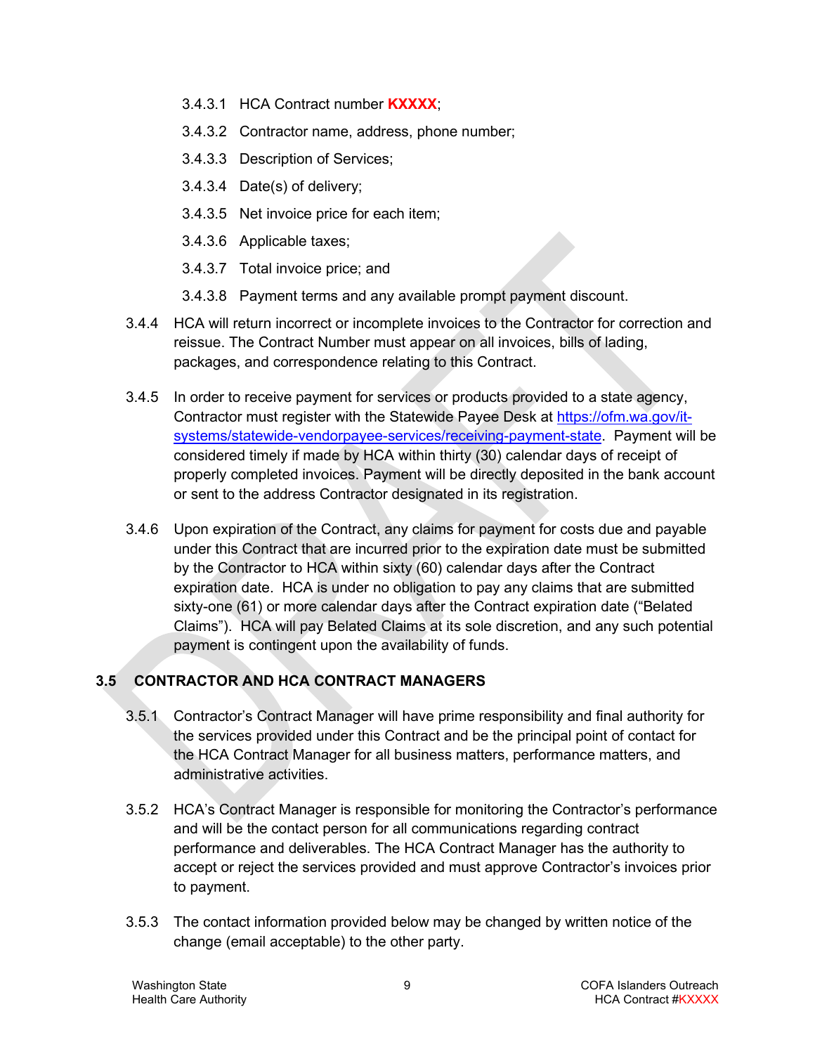- 3.4.3.1 HCA Contract number **KXXXX**;
- 3.4.3.2 Contractor name, address, phone number;
- 3.4.3.3 Description of Services;
- 3.4.3.4 Date(s) of delivery;
- 3.4.3.5 Net invoice price for each item;
- 3.4.3.6 Applicable taxes;
- 3.4.3.7 Total invoice price; and
- 3.4.3.8 Payment terms and any available prompt payment discount.
- 3.4.4 HCA will return incorrect or incomplete invoices to the Contractor for correction and reissue. The Contract Number must appear on all invoices, bills of lading, packages, and correspondence relating to this Contract.
- 3.4.5 In order to receive payment for services or products provided to a state agency, Contractor must register with the Statewide Payee Desk at [https://ofm.wa.gov/it](https://ofm.wa.gov/it-systems/statewide-vendorpayee-services/receiving-payment-state)[systems/statewide-vendorpayee-services/receiving-payment-state.](https://ofm.wa.gov/it-systems/statewide-vendorpayee-services/receiving-payment-state) Payment will be considered timely if made by HCA within thirty (30) calendar days of receipt of properly completed invoices. Payment will be directly deposited in the bank account or sent to the address Contractor designated in its registration.
- 3.4.6 Upon expiration of the Contract, any claims for payment for costs due and payable under this Contract that are incurred prior to the expiration date must be submitted by the Contractor to HCA within sixty (60) calendar days after the Contract expiration date. HCA is under no obligation to pay any claims that are submitted sixty-one (61) or more calendar days after the Contract expiration date ("Belated Claims"). HCA will pay Belated Claims at its sole discretion, and any such potential payment is contingent upon the availability of funds.

# <span id="page-8-0"></span>**3.5 CONTRACTOR AND HCA CONTRACT MANAGERS**

- 3.5.1 Contractor's Contract Manager will have prime responsibility and final authority for the services provided under this Contract and be the principal point of contact for the HCA Contract Manager for all business matters, performance matters, and administrative activities.
- 3.5.2 HCA's Contract Manager is responsible for monitoring the Contractor's performance and will be the contact person for all communications regarding contract performance and deliverables. The HCA Contract Manager has the authority to accept or reject the services provided and must approve Contractor's invoices prior to payment.
- 3.5.3 The contact information provided below may be changed by written notice of the change (email acceptable) to the other party.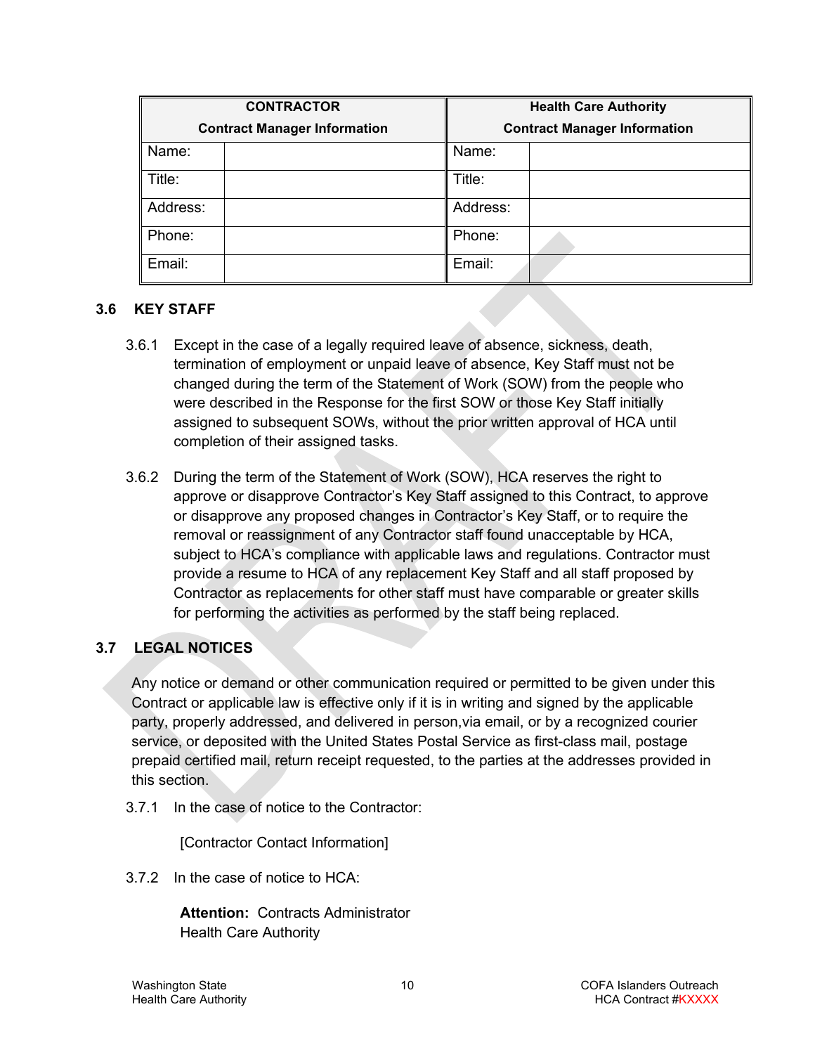| <b>CONTRACTOR</b>                   |  | <b>Health Care Authority</b>        |  |
|-------------------------------------|--|-------------------------------------|--|
| <b>Contract Manager Information</b> |  | <b>Contract Manager Information</b> |  |
| Name:                               |  | Name:                               |  |
| Title:                              |  | Title:                              |  |
| Address:                            |  | Address:                            |  |
| Phone:                              |  | Phone:                              |  |
| Email:                              |  | Email:                              |  |

#### <span id="page-9-0"></span>**3.6 KEY STAFF**

- 3.6.1 Except in the case of a legally required leave of absence, sickness, death, termination of employment or unpaid leave of absence, Key Staff must not be changed during the term of the Statement of Work (SOW) from the people who were described in the Response for the first SOW or those Key Staff initially assigned to subsequent SOWs, without the prior written approval of HCA until completion of their assigned tasks.
- 3.6.2 During the term of the Statement of Work (SOW), HCA reserves the right to approve or disapprove Contractor's Key Staff assigned to this Contract, to approve or disapprove any proposed changes in Contractor's Key Staff, or to require the removal or reassignment of any Contractor staff found unacceptable by HCA, subject to HCA's compliance with applicable laws and regulations. Contractor must provide a resume to HCA of any replacement Key Staff and all staff proposed by Contractor as replacements for other staff must have comparable or greater skills for performing the activities as performed by the staff being replaced.

# <span id="page-9-1"></span>**3.7 LEGAL NOTICES**

Any notice or demand or other communication required or permitted to be given under this Contract or applicable law is effective only if it is in writing and signed by the applicable party, properly addressed, and delivered in person,via email, or by a recognized courier service, or deposited with the United States Postal Service as first-class mail, postage prepaid certified mail, return receipt requested, to the parties at the addresses provided in this section.

3.7.1 In the case of notice to the Contractor:

[Contractor Contact Information]

3.7.2 In the case of notice to HCA:

**Attention:** Contracts Administrator Health Care Authority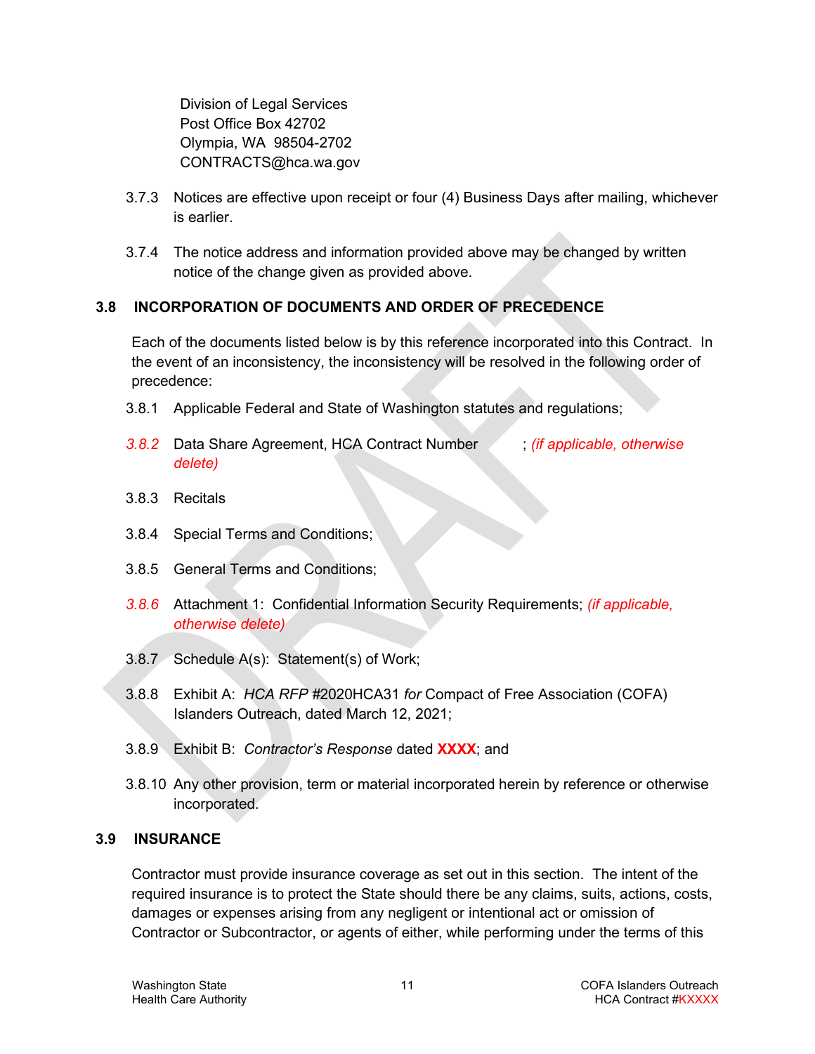Division of Legal Services Post Office Box 42702 Olympia, WA 98504-2702 CONTRACTS@hca.wa.gov

- 3.7.3 Notices are effective upon receipt or four (4) Business Days after mailing, whichever is earlier.
- 3.7.4 The notice address and information provided above may be changed by written notice of the change given as provided above.

### <span id="page-10-0"></span>**3.8 INCORPORATION OF DOCUMENTS AND ORDER OF PRECEDENCE**

Each of the documents listed below is by this reference incorporated into this Contract. In the event of an inconsistency, the inconsistency will be resolved in the following order of precedence:

- 3.8.1 Applicable Federal and State of Washington statutes and regulations;
- *3.8.2* Data Share Agreement, HCA Contract Number ; *(if applicable, otherwise delete)*
- 3.8.3 Recitals
- 3.8.4 Special Terms and Conditions;
- 3.8.5 General Terms and Conditions;
- *3.8.6* Attachment 1: Confidential Information Security Requirements; *(if applicable, otherwise delete)*
- 3.8.7 Schedule A(s): Statement(s) of Work;
- 3.8.8 Exhibit A: *HCA RFP #*2020HCA31 *for* Compact of Free Association (COFA) Islanders Outreach, dated March 12, 2021;
- 3.8.9 Exhibit B: *Contractor's Response* dated **XXXX**; and
- 3.8.10 Any other provision, term or material incorporated herein by reference or otherwise incorporated.

### <span id="page-10-1"></span>**3.9 INSURANCE**

Contractor must provide insurance coverage as set out in this section. The intent of the required insurance is to protect the State should there be any claims, suits, actions, costs, damages or expenses arising from any negligent or intentional act or omission of Contractor or Subcontractor, or agents of either, while performing under the terms of this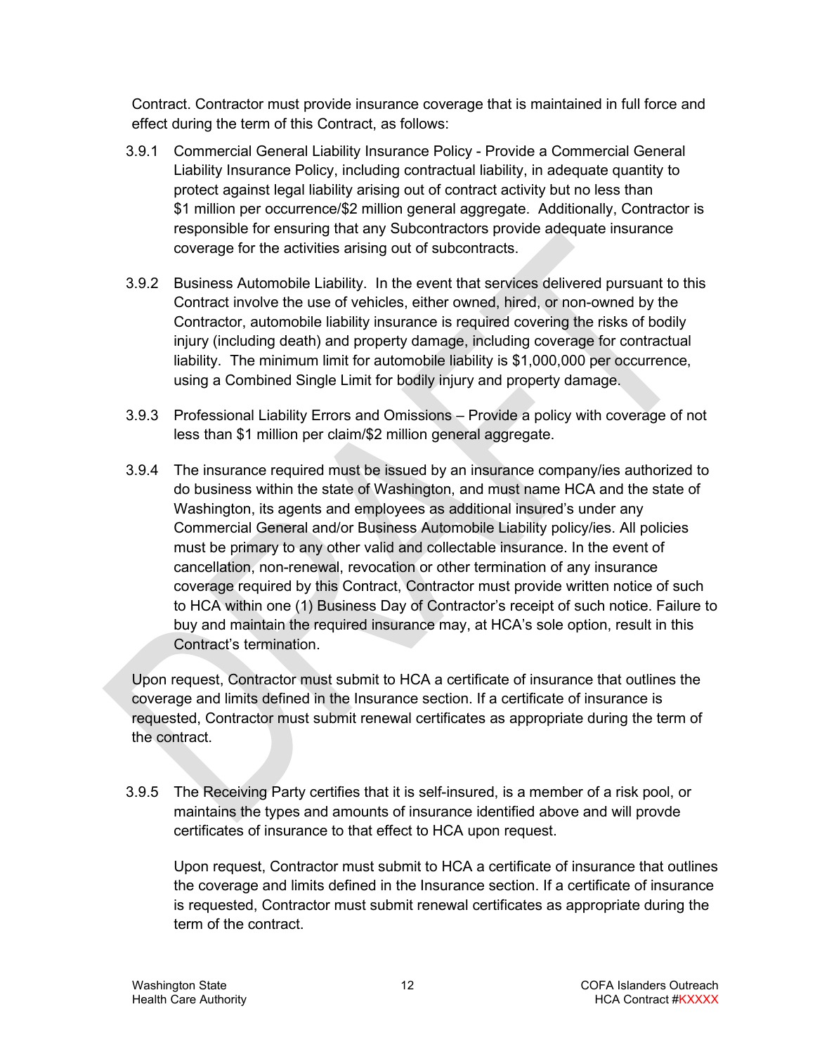Contract. Contractor must provide insurance coverage that is maintained in full force and effect during the term of this Contract, as follows:

- 3.9.1 Commercial General Liability Insurance Policy Provide a Commercial General Liability Insurance Policy, including contractual liability, in adequate quantity to protect against legal liability arising out of contract activity but no less than \$1 million per occurrence/\$2 million general aggregate. Additionally, Contractor is responsible for ensuring that any Subcontractors provide adequate insurance coverage for the activities arising out of subcontracts.
- 3.9.2 Business Automobile Liability. In the event that services delivered pursuant to this Contract involve the use of vehicles, either owned, hired, or non-owned by the Contractor, automobile liability insurance is required covering the risks of bodily injury (including death) and property damage, including coverage for contractual liability. The minimum limit for automobile liability is \$1,000,000 per occurrence, using a Combined Single Limit for bodily injury and property damage.
- 3.9.3 Professional Liability Errors and Omissions Provide a policy with coverage of not less than \$1 million per claim/\$2 million general aggregate.
- 3.9.4 The insurance required must be issued by an insurance company/ies authorized to do business within the state of Washington, and must name HCA and the state of Washington, its agents and employees as additional insured's under any Commercial General and/or Business Automobile Liability policy/ies. All policies must be primary to any other valid and collectable insurance. In the event of cancellation, non-renewal, revocation or other termination of any insurance coverage required by this Contract, Contractor must provide written notice of such to HCA within one (1) Business Day of Contractor's receipt of such notice. Failure to buy and maintain the required insurance may, at HCA's sole option, result in this Contract's termination.

Upon request, Contractor must submit to HCA a certificate of insurance that outlines the coverage and limits defined in the Insurance section. If a certificate of insurance is requested, Contractor must submit renewal certificates as appropriate during the term of the contract.

3.9.5 The Receiving Party certifies that it is self-insured, is a member of a risk pool, or maintains the types and amounts of insurance identified above and will provde certificates of insurance to that effect to HCA upon request.

Upon request, Contractor must submit to HCA a certificate of insurance that outlines the coverage and limits defined in the Insurance section. If a certificate of insurance is requested, Contractor must submit renewal certificates as appropriate during the term of the contract.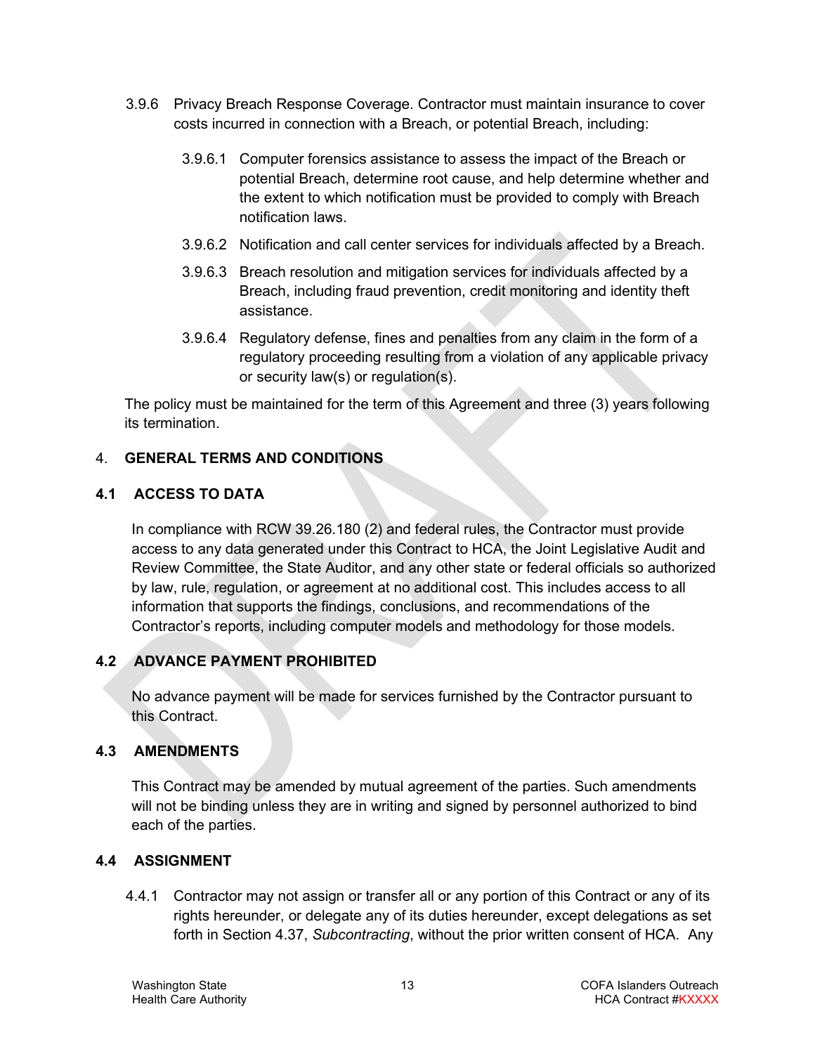- 3.9.6 Privacy Breach Response Coverage. Contractor must maintain insurance to cover costs incurred in connection with a Breach, or potential Breach, including:
	- 3.9.6.1 Computer forensics assistance to assess the impact of the Breach or potential Breach, determine root cause, and help determine whether and the extent to which notification must be provided to comply with Breach notification laws.
	- 3.9.6.2 Notification and call center services for individuals affected by a Breach.
	- 3.9.6.3 Breach resolution and mitigation services for individuals affected by a Breach, including fraud prevention, credit monitoring and identity theft assistance.
	- 3.9.6.4 Regulatory defense, fines and penalties from any claim in the form of a regulatory proceeding resulting from a violation of any applicable privacy or security law(s) or regulation(s).

The policy must be maintained for the term of this Agreement and three (3) years following its termination.

# <span id="page-12-0"></span>4. **GENERAL TERMS AND CONDITIONS**

# <span id="page-12-1"></span>**4.1 ACCESS TO DATA**

In compliance with RCW 39.26.180 (2) and federal rules, the Contractor must provide access to any data generated under this Contract to HCA, the Joint Legislative Audit and Review Committee, the State Auditor, and any other state or federal officials so authorized by law, rule, regulation, or agreement at no additional cost. This includes access to all information that supports the findings, conclusions, and recommendations of the Contractor's reports, including computer models and methodology for those models.

### <span id="page-12-2"></span>**4.2 ADVANCE PAYMENT PROHIBITED**

No advance payment will be made for services furnished by the Contractor pursuant to this Contract.

### <span id="page-12-3"></span>**4.3 AMENDMENTS**

This Contract may be amended by mutual agreement of the parties. Such amendments will not be binding unless they are in writing and signed by personnel authorized to bind each of the parties.

### <span id="page-12-4"></span>**4.4 ASSIGNMENT**

<span id="page-12-5"></span>4.4.1 Contractor may not assign or transfer all or any portion of this Contract or any of its rights hereunder, or delegate any of its duties hereunder, except delegations as set forth in Section [4.37,](#page-23-2) *Subcontracting*, without the prior written consent of HCA. Any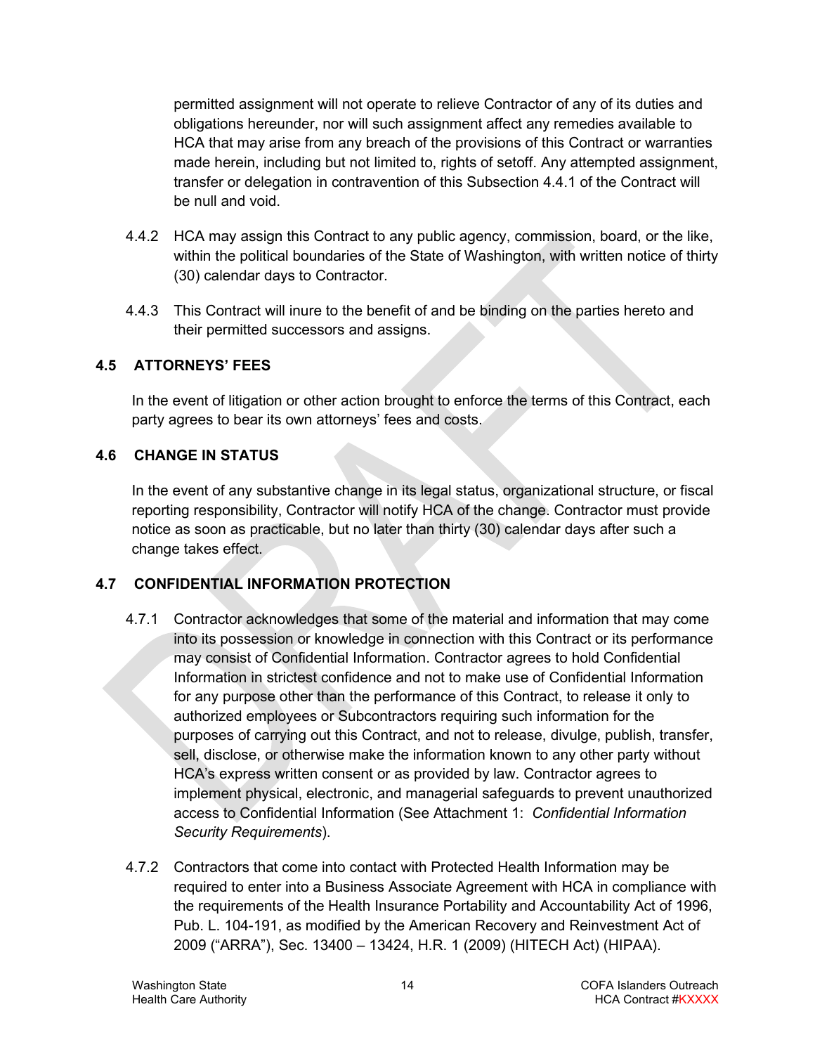permitted assignment will not operate to relieve Contractor of any of its duties and obligations hereunder, nor will such assignment affect any remedies available to HCA that may arise from any breach of the provisions of this Contract or warranties made herein, including but not limited to, rights of setoff. Any attempted assignment, transfer or delegation in contravention of this Subsection [4.4.1](#page-12-5) of the Contract will be null and void.

- 4.4.2 HCA may assign this Contract to any public agency, commission, board, or the like, within the political boundaries of the State of Washington, with written notice of thirty (30) calendar days to Contractor.
- 4.4.3 This Contract will inure to the benefit of and be binding on the parties hereto and their permitted successors and assigns.

# <span id="page-13-0"></span>**4.5 ATTORNEYS' FEES**

In the event of litigation or other action brought to enforce the terms of this Contract, each party agrees to bear its own attorneys' fees and costs.

### <span id="page-13-1"></span>**4.6 CHANGE IN STATUS**

In the event of any substantive change in its legal status, organizational structure, or fiscal reporting responsibility, Contractor will notify HCA of the change. Contractor must provide notice as soon as practicable, but no later than thirty (30) calendar days after such a change takes effect.

# <span id="page-13-2"></span>**4.7 CONFIDENTIAL INFORMATION PROTECTION**

- 4.7.1 Contractor acknowledges that some of the material and information that may come into its possession or knowledge in connection with this Contract or its performance may consist of Confidential Information. Contractor agrees to hold Confidential Information in strictest confidence and not to make use of Confidential Information for any purpose other than the performance of this Contract, to release it only to authorized employees or Subcontractors requiring such information for the purposes of carrying out this Contract, and not to release, divulge, publish, transfer, sell, disclose, or otherwise make the information known to any other party without HCA's express written consent or as provided by law. Contractor agrees to implement physical, electronic, and managerial safeguards to prevent unauthorized access to Confidential Information (See Attachment 1: *Confidential Information Security Requirements*).
- 4.7.2 Contractors that come into contact with Protected Health Information may be required to enter into a Business Associate Agreement with HCA in compliance with the requirements of the Health Insurance Portability and Accountability Act of 1996, Pub. L. 104-191, as modified by the American Recovery and Reinvestment Act of 2009 ("ARRA"), Sec. 13400 – 13424, H.R. 1 (2009) (HITECH Act) (HIPAA).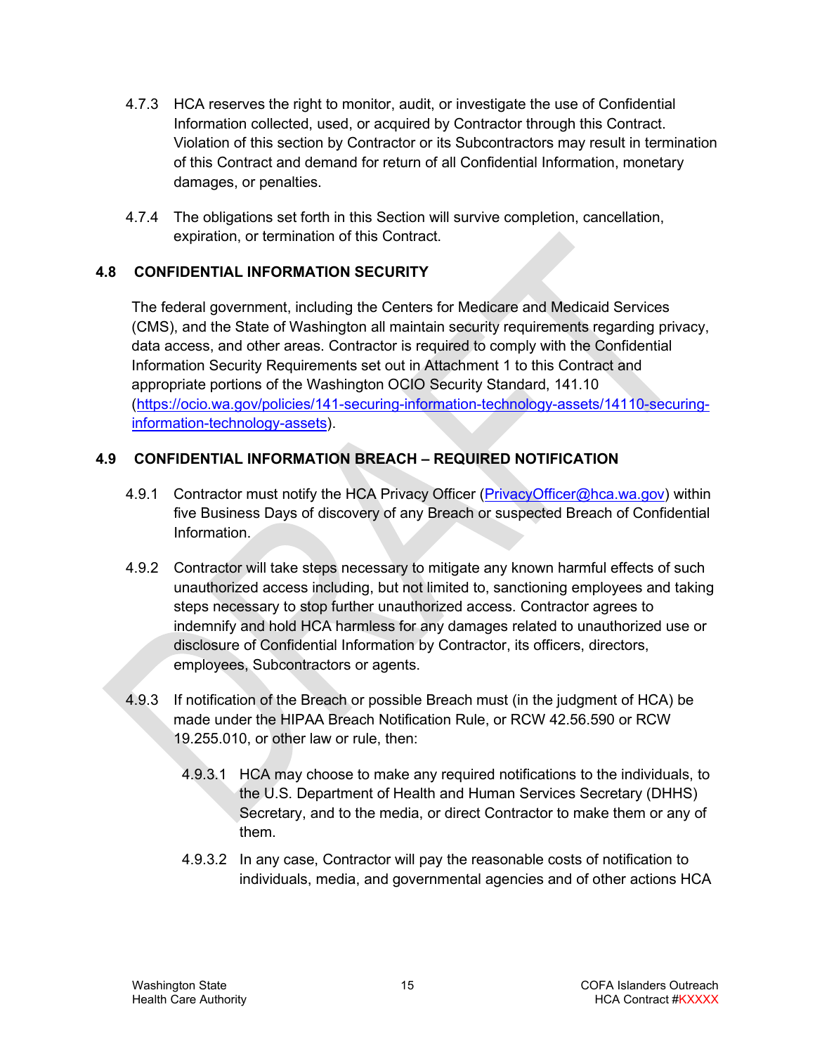- 4.7.3 HCA reserves the right to monitor, audit, or investigate the use of Confidential Information collected, used, or acquired by Contractor through this Contract. Violation of this section by Contractor or its Subcontractors may result in termination of this Contract and demand for return of all Confidential Information, monetary damages, or penalties.
- 4.7.4 The obligations set forth in this Section will survive completion, cancellation, expiration, or termination of this Contract.

# <span id="page-14-0"></span>**4.8 CONFIDENTIAL INFORMATION SECURITY**

The federal government, including the Centers for Medicare and Medicaid Services (CMS), and the State of Washington all maintain security requirements regarding privacy, data access, and other areas. Contractor is required to comply with the Confidential Information Security Requirements set out in Attachment 1 to this Contract and appropriate portions of the Washington OCIO Security Standard, 141.10 [\(https://ocio.wa.gov/policies/141-securing-information-technology-assets/14110-securing](https://ocio.wa.gov/policies/141-securing-information-technology-assets/14110-securing-information-technology-assets)[information-technology-assets\)](https://ocio.wa.gov/policies/141-securing-information-technology-assets/14110-securing-information-technology-assets).

# <span id="page-14-1"></span>**4.9 CONFIDENTIAL INFORMATION BREACH – REQUIRED NOTIFICATION**

- 4.9.1 Contractor must notify the HCA Privacy Officer [\(PrivacyOfficer@hca.wa.gov\)](mailto:PrivacyOfficer@hca.wa.gov) within five Business Days of discovery of any Breach or suspected Breach of Confidential Information.
- 4.9.2 Contractor will take steps necessary to mitigate any known harmful effects of such unauthorized access including, but not limited to, sanctioning employees and taking steps necessary to stop further unauthorized access. Contractor agrees to indemnify and hold HCA harmless for any damages related to unauthorized use or disclosure of Confidential Information by Contractor, its officers, directors, employees, Subcontractors or agents.
- 4.9.3 If notification of the Breach or possible Breach must (in the judgment of HCA) be made under the HIPAA Breach Notification Rule, or RCW 42.56.590 or RCW 19.255.010, or other law or rule, then:
	- 4.9.3.1 HCA may choose to make any required notifications to the individuals, to the U.S. Department of Health and Human Services Secretary (DHHS) Secretary, and to the media, or direct Contractor to make them or any of them.
	- 4.9.3.2 In any case, Contractor will pay the reasonable costs of notification to individuals, media, and governmental agencies and of other actions HCA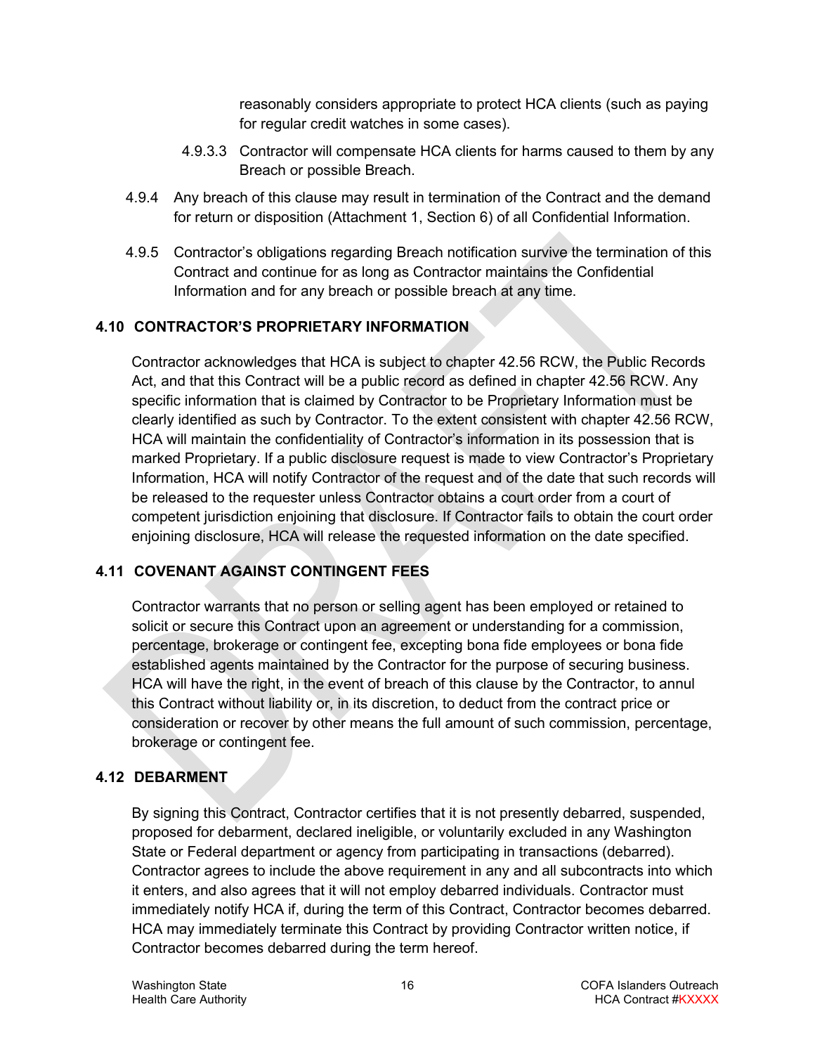reasonably considers appropriate to protect HCA clients (such as paying for regular credit watches in some cases).

- 4.9.3.3 Contractor will compensate HCA clients for harms caused to them by any Breach or possible Breach.
- 4.9.4 Any breach of this clause may result in termination of the Contract and the demand for return or disposition (Attachment 1, Section 6) of all Confidential Information.
- 4.9.5 Contractor's obligations regarding Breach notification survive the termination of this Contract and continue for as long as Contractor maintains the Confidential Information and for any breach or possible breach at any time.

# <span id="page-15-0"></span>**4.10 CONTRACTOR'S PROPRIETARY INFORMATION**

Contractor acknowledges that HCA is subject to chapter 42.56 RCW, the Public Records Act, and that this Contract will be a public record as defined in chapter 42.56 RCW. Any specific information that is claimed by Contractor to be Proprietary Information must be clearly identified as such by Contractor. To the extent consistent with chapter 42.56 RCW, HCA will maintain the confidentiality of Contractor's information in its possession that is marked Proprietary. If a public disclosure request is made to view Contractor's Proprietary Information, HCA will notify Contractor of the request and of the date that such records will be released to the requester unless Contractor obtains a court order from a court of competent jurisdiction enjoining that disclosure. If Contractor fails to obtain the court order enjoining disclosure, HCA will release the requested information on the date specified.

# <span id="page-15-1"></span>**4.11 COVENANT AGAINST CONTINGENT FEES**

Contractor warrants that no person or selling agent has been employed or retained to solicit or secure this Contract upon an agreement or understanding for a commission, percentage, brokerage or contingent fee, excepting bona fide employees or bona fide established agents maintained by the Contractor for the purpose of securing business. HCA will have the right, in the event of breach of this clause by the Contractor, to annul this Contract without liability or, in its discretion, to deduct from the contract price or consideration or recover by other means the full amount of such commission, percentage, brokerage or contingent fee.

# <span id="page-15-2"></span>**4.12 DEBARMENT**

By signing this Contract, Contractor certifies that it is not presently debarred, suspended, proposed for debarment, declared ineligible, or voluntarily excluded in any Washington State or Federal department or agency from participating in transactions (debarred). Contractor agrees to include the above requirement in any and all subcontracts into which it enters, and also agrees that it will not employ debarred individuals. Contractor must immediately notify HCA if, during the term of this Contract, Contractor becomes debarred. HCA may immediately terminate this Contract by providing Contractor written notice, if Contractor becomes debarred during the term hereof.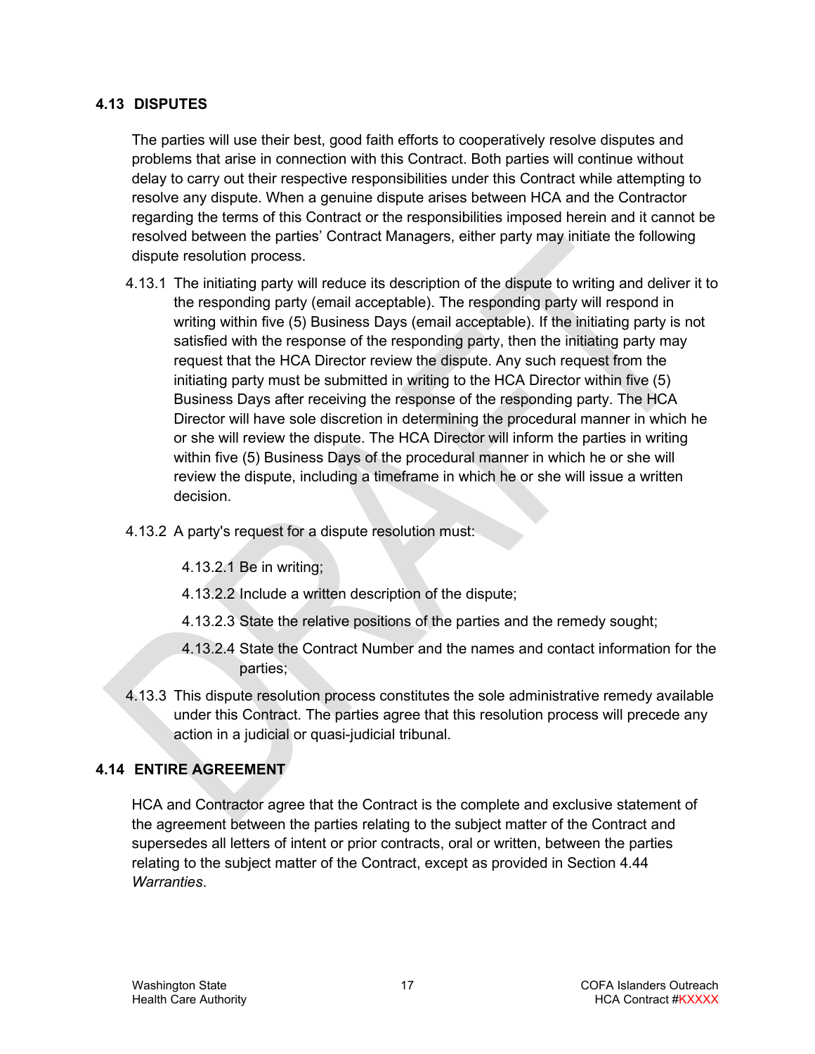#### <span id="page-16-0"></span>**4.13 DISPUTES**

The parties will use their best, good faith efforts to cooperatively resolve disputes and problems that arise in connection with this Contract. Both parties will continue without delay to carry out their respective responsibilities under this Contract while attempting to resolve any dispute. When a genuine dispute arises between HCA and the Contractor regarding the terms of this Contract or the responsibilities imposed herein and it cannot be resolved between the parties' Contract Managers, either party may initiate the following dispute resolution process.

- 4.13.1 The initiating party will reduce its description of the dispute to writing and deliver it to the responding party (email acceptable). The responding party will respond in writing within five (5) Business Days (email acceptable). If the initiating party is not satisfied with the response of the responding party, then the initiating party may request that the HCA Director review the dispute. Any such request from the initiating party must be submitted in writing to the HCA Director within five (5) Business Days after receiving the response of the responding party. The HCA Director will have sole discretion in determining the procedural manner in which he or she will review the dispute. The HCA Director will inform the parties in writing within five (5) Business Days of the procedural manner in which he or she will review the dispute, including a timeframe in which he or she will issue a written decision.
- 4.13.2 A party's request for a dispute resolution must:
	- 4.13.2.1 Be in writing;
	- 4.13.2.2 Include a written description of the dispute;
	- 4.13.2.3 State the relative positions of the parties and the remedy sought;
	- 4.13.2.4 State the Contract Number and the names and contact information for the parties;
- 4.13.3 This dispute resolution process constitutes the sole administrative remedy available under this Contract. The parties agree that this resolution process will precede any action in a judicial or quasi-judicial tribunal.

### <span id="page-16-1"></span>**4.14 ENTIRE AGREEMENT**

HCA and Contractor agree that the Contract is the complete and exclusive statement of the agreement between the parties relating to the subject matter of the Contract and supersedes all letters of intent or prior contracts, oral or written, between the parties relating to the subject matter of the Contract, except as provided in Section [4.44](#page-27-1) *Warranties*.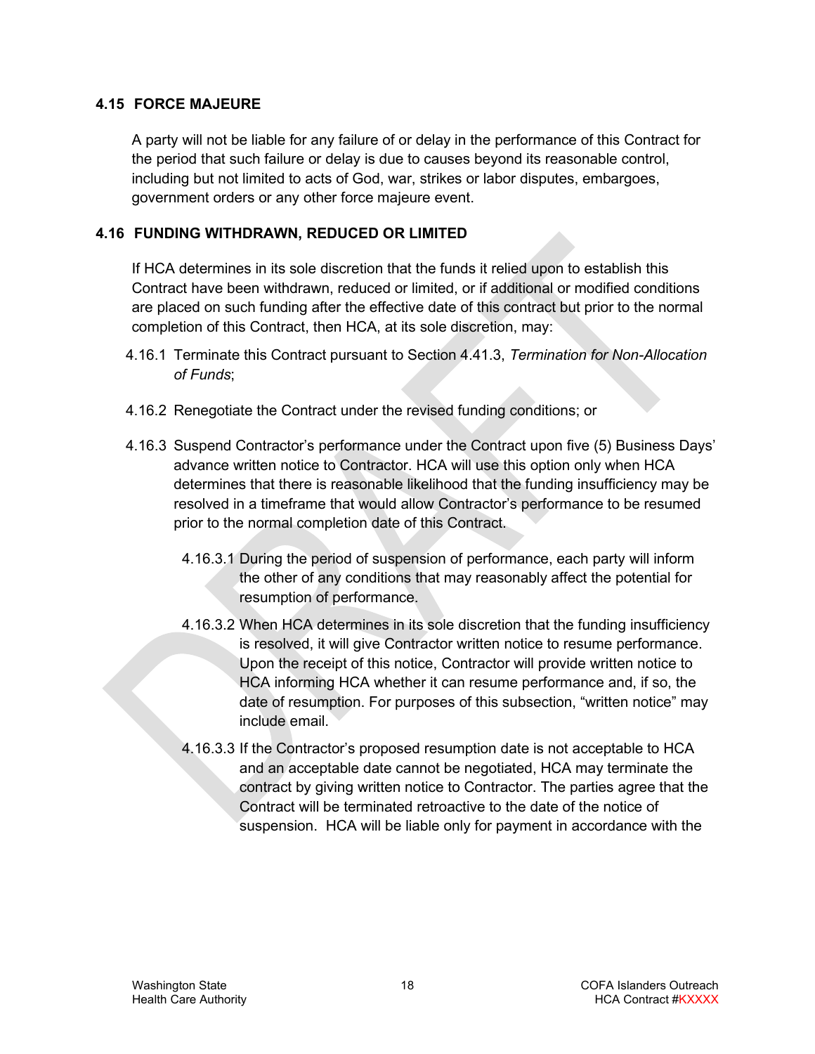#### <span id="page-17-0"></span>**4.15 FORCE MAJEURE**

A party will not be liable for any failure of or delay in the performance of this Contract for the period that such failure or delay is due to causes beyond its reasonable control, including but not limited to acts of God, war, strikes or labor disputes, embargoes, government orders or any other force majeure event.

#### <span id="page-17-1"></span>**4.16 FUNDING WITHDRAWN, REDUCED OR LIMITED**

If HCA determines in its sole discretion that the funds it relied upon to establish this Contract have been withdrawn, reduced or limited, or if additional or modified conditions are placed on such funding after the effective date of this contract but prior to the normal completion of this Contract, then HCA, at its sole discretion, may:

- 4.16.1 Terminate this Contract pursuant to Section [4.41.3,](#page-25-1) *Termination for Non-Allocation of Funds*;
- 4.16.2 Renegotiate the Contract under the revised funding conditions; or
- 4.16.3 Suspend Contractor's performance under the Contract upon five (5) Business Days' advance written notice to Contractor. HCA will use this option only when HCA determines that there is reasonable likelihood that the funding insufficiency may be resolved in a timeframe that would allow Contractor's performance to be resumed prior to the normal completion date of this Contract.
	- 4.16.3.1 During the period of suspension of performance, each party will inform the other of any conditions that may reasonably affect the potential for resumption of performance.
	- 4.16.3.2 When HCA determines in its sole discretion that the funding insufficiency is resolved, it will give Contractor written notice to resume performance. Upon the receipt of this notice, Contractor will provide written notice to HCA informing HCA whether it can resume performance and, if so, the date of resumption. For purposes of this subsection, "written notice" may include email.
	- 4.16.3.3 If the Contractor's proposed resumption date is not acceptable to HCA and an acceptable date cannot be negotiated, HCA may terminate the contract by giving written notice to Contractor. The parties agree that the Contract will be terminated retroactive to the date of the notice of suspension. HCA will be liable only for payment in accordance with the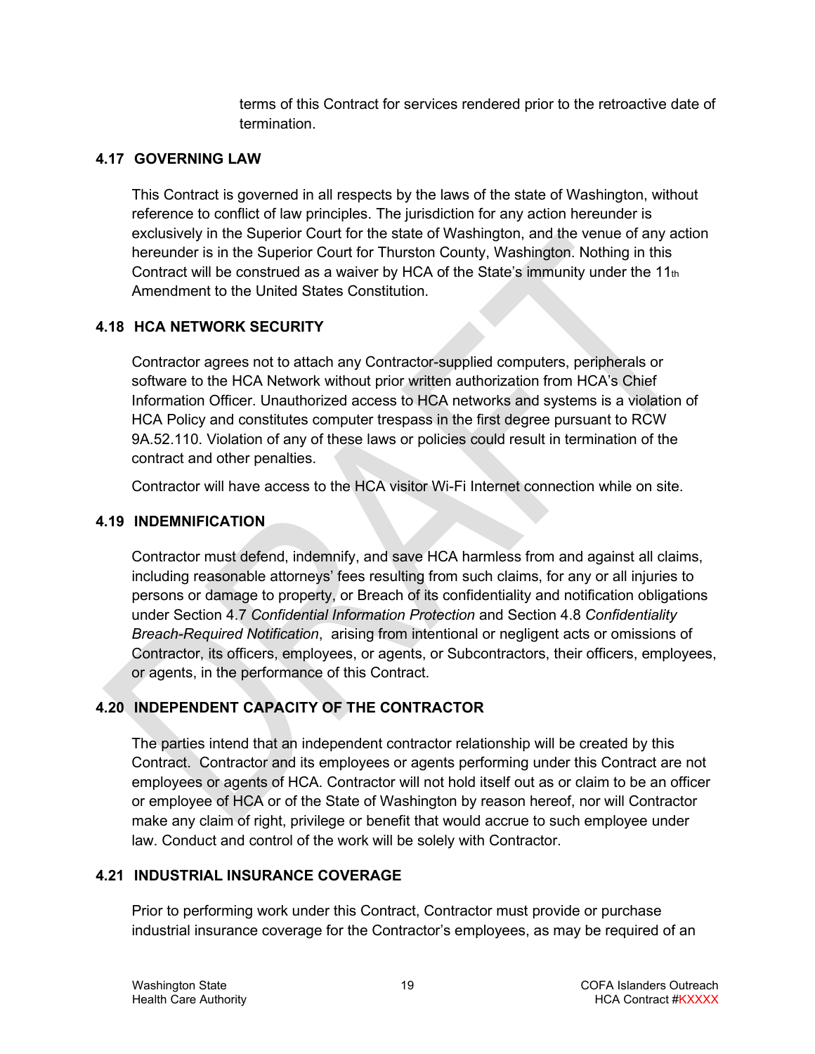terms of this Contract for services rendered prior to the retroactive date of termination.

# <span id="page-18-0"></span>**4.17 GOVERNING LAW**

This Contract is governed in all respects by the laws of the state of Washington, without reference to conflict of law principles. The jurisdiction for any action hereunder is exclusively in the Superior Court for the state of Washington, and the venue of any action hereunder is in the Superior Court for Thurston County, Washington. Nothing in this Contract will be construed as a waiver by HCA of the State's immunity under the  $11<sub>th</sub>$ Amendment to the United States Constitution.

# <span id="page-18-1"></span>**4.18 HCA NETWORK SECURITY**

Contractor agrees not to attach any Contractor-supplied computers, peripherals or software to the HCA Network without prior written authorization from HCA's Chief Information Officer. Unauthorized access to HCA networks and systems is a violation of HCA Policy and constitutes computer trespass in the first degree pursuant to RCW 9A.52.110. Violation of any of these laws or policies could result in termination of the contract and other penalties.

Contractor will have access to the HCA visitor Wi-Fi Internet connection while on site.

# <span id="page-18-2"></span>**4.19 INDEMNIFICATION**

Contractor must defend, indemnify, and save HCA harmless from and against all claims, including reasonable attorneys' fees resulting from such claims, for any or all injuries to persons or damage to property, or Breach of its confidentiality and notification obligations under Section [4.7](#page-13-2) *Confidential Information Protection* and Section [4.8](#page-14-0) *Confidentiality Breach-Required Notification*, arising from intentional or negligent acts or omissions of Contractor, its officers, employees, or agents, or Subcontractors, their officers, employees, or agents, in the performance of this Contract.

# <span id="page-18-3"></span>**4.20 INDEPENDENT CAPACITY OF THE CONTRACTOR**

The parties intend that an independent contractor relationship will be created by this Contract. Contractor and its employees or agents performing under this Contract are not employees or agents of HCA. Contractor will not hold itself out as or claim to be an officer or employee of HCA or of the State of Washington by reason hereof, nor will Contractor make any claim of right, privilege or benefit that would accrue to such employee under law. Conduct and control of the work will be solely with Contractor.

### <span id="page-18-4"></span>**4.21 INDUSTRIAL INSURANCE COVERAGE**

Prior to performing work under this Contract, Contractor must provide or purchase industrial insurance coverage for the Contractor's employees, as may be required of an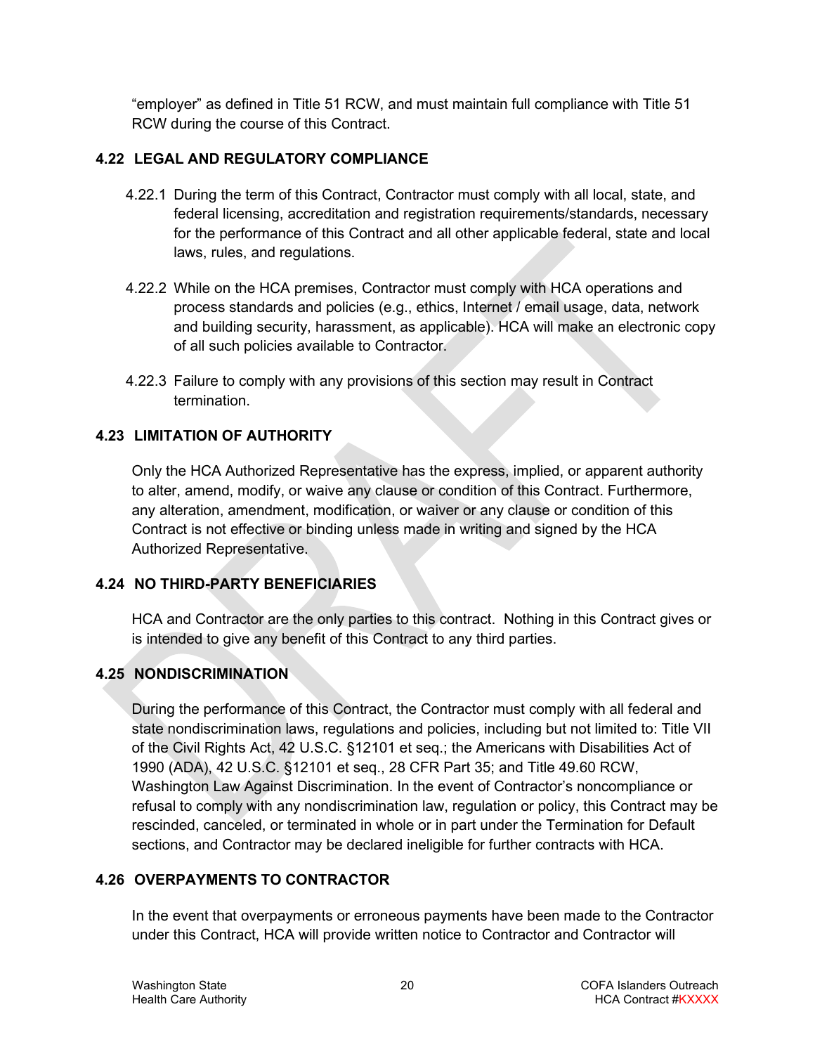"employer" as defined in Title 51 RCW, and must maintain full compliance with Title 51 RCW during the course of this Contract.

### <span id="page-19-0"></span>**4.22 LEGAL AND REGULATORY COMPLIANCE**

- 4.22.1 During the term of this Contract, Contractor must comply with all local, state, and federal licensing, accreditation and registration requirements/standards, necessary for the performance of this Contract and all other applicable federal, state and local laws, rules, and regulations.
- 4.22.2 While on the HCA premises, Contractor must comply with HCA operations and process standards and policies (e.g., ethics, Internet / email usage, data, network and building security, harassment, as applicable). HCA will make an electronic copy of all such policies available to Contractor.
- 4.22.3 Failure to comply with any provisions of this section may result in Contract termination.

### <span id="page-19-1"></span>**4.23 LIMITATION OF AUTHORITY**

Only the HCA Authorized Representative has the express, implied, or apparent authority to alter, amend, modify, or waive any clause or condition of this Contract. Furthermore, any alteration, amendment, modification, or waiver or any clause or condition of this Contract is not effective or binding unless made in writing and signed by the HCA Authorized Representative.

### <span id="page-19-2"></span>**4.24 NO THIRD-PARTY BENEFICIARIES**

HCA and Contractor are the only parties to this contract. Nothing in this Contract gives or is intended to give any benefit of this Contract to any third parties.

# <span id="page-19-3"></span>**4.25 NONDISCRIMINATION**

During the performance of this Contract, the Contractor must comply with all federal and state nondiscrimination laws, regulations and policies, including but not limited to: Title VII of the Civil Rights Act, 42 U.S.C. §12101 et seq.; the Americans with Disabilities Act of 1990 (ADA), 42 U.S.C. §12101 et seq., 28 CFR Part 35; and Title 49.60 RCW, Washington Law Against Discrimination. In the event of Contractor's noncompliance or refusal to comply with any nondiscrimination law, regulation or policy, this Contract may be rescinded, canceled, or terminated in whole or in part under the Termination for Default sections, and Contractor may be declared ineligible for further contracts with HCA.

### <span id="page-19-4"></span>**4.26 OVERPAYMENTS TO CONTRACTOR**

In the event that overpayments or erroneous payments have been made to the Contractor under this Contract, HCA will provide written notice to Contractor and Contractor will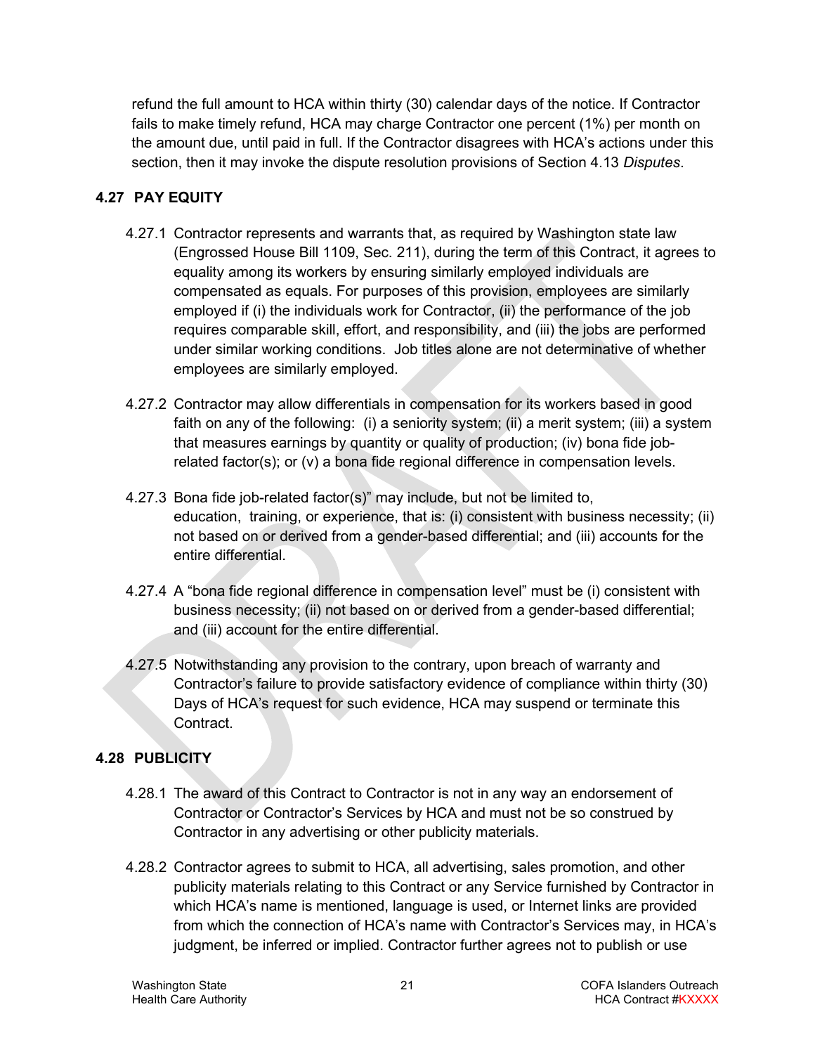refund the full amount to HCA within thirty (30) calendar days of the notice. If Contractor fails to make timely refund, HCA may charge Contractor one percent (1%) per month on the amount due, until paid in full. If the Contractor disagrees with HCA's actions under this section, then it may invoke the dispute resolution provisions of Section [4.13](#page-16-0) *Disputes*.

# <span id="page-20-0"></span>**4.27 PAY EQUITY**

- 4.27.1 Contractor represents and warrants that, as required by Washington state law (Engrossed House Bill 1109, Sec. 211), during the term of this Contract, it agrees to equality among its workers by ensuring similarly employed individuals are compensated as equals. For purposes of this provision, employees are similarly employed if (i) the individuals work for Contractor, (ii) the performance of the job requires comparable skill, effort, and responsibility, and (iii) the jobs are performed under similar working conditions. Job titles alone are not determinative of whether employees are similarly employed.
- 4.27.2 Contractor may allow differentials in compensation for its workers based in good faith on any of the following: (i) a seniority system; (ii) a merit system; (iii) a system that measures earnings by quantity or quality of production; (iv) bona fide jobrelated factor(s); or (v) a bona fide regional difference in compensation levels.
- 4.27.3 Bona fide job-related factor(s)" may include, but not be limited to, education, training, or experience, that is: (i) consistent with business necessity; (ii) not based on or derived from a gender-based differential; and (iii) accounts for the entire differential.
- 4.27.4 A "bona fide regional difference in compensation level" must be (i) consistent with business necessity; (ii) not based on or derived from a gender-based differential; and (iii) account for the entire differential.
- 4.27.5 Notwithstanding any provision to the contrary, upon breach of warranty and Contractor's failure to provide satisfactory evidence of compliance within thirty (30) Days of HCA's request for such evidence, HCA may suspend or terminate this Contract.

# <span id="page-20-1"></span>**4.28 PUBLICITY**

- 4.28.1 The award of this Contract to Contractor is not in any way an endorsement of Contractor or Contractor's Services by HCA and must not be so construed by Contractor in any advertising or other publicity materials.
- 4.28.2 Contractor agrees to submit to HCA, all advertising, sales promotion, and other publicity materials relating to this Contract or any Service furnished by Contractor in which HCA's name is mentioned, language is used, or Internet links are provided from which the connection of HCA's name with Contractor's Services may, in HCA's judgment, be inferred or implied. Contractor further agrees not to publish or use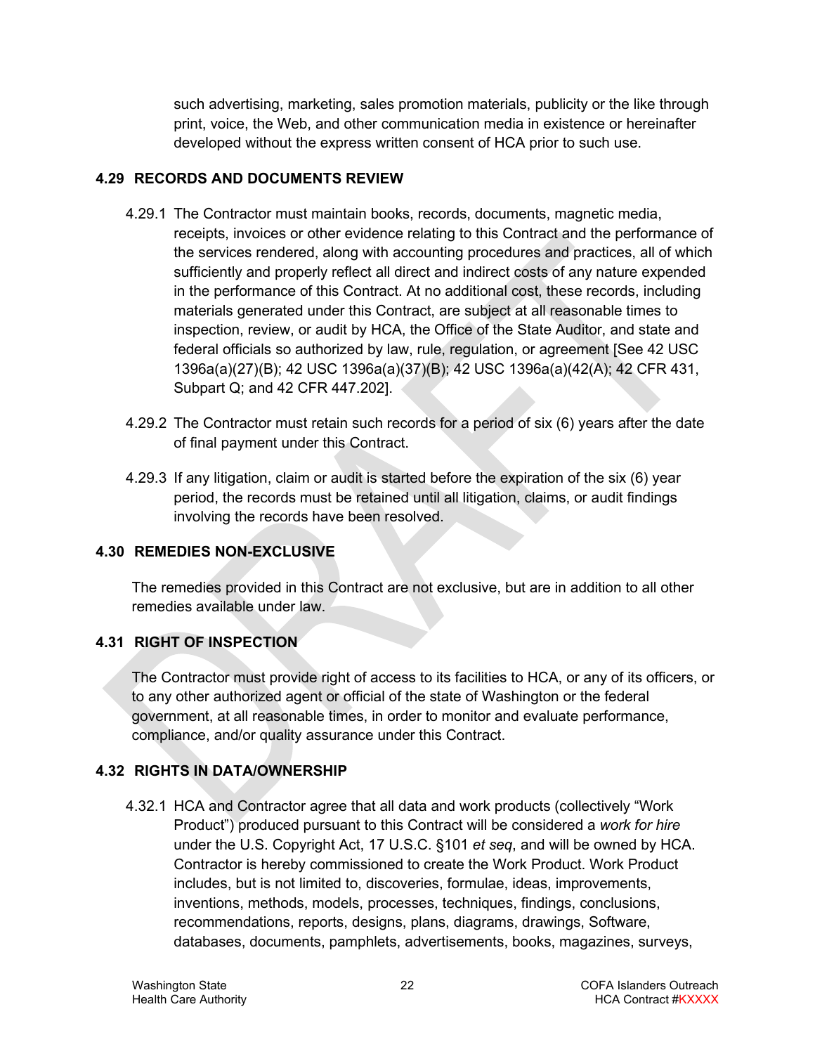such advertising, marketing, sales promotion materials, publicity or the like through print, voice, the Web, and other communication media in existence or hereinafter developed without the express written consent of HCA prior to such use.

# <span id="page-21-0"></span>**4.29 RECORDS AND DOCUMENTS REVIEW**

- 4.29.1 The Contractor must maintain books, records, documents, magnetic media, receipts, invoices or other evidence relating to this Contract and the performance of the services rendered, along with accounting procedures and practices, all of which sufficiently and properly reflect all direct and indirect costs of any nature expended in the performance of this Contract. At no additional cost, these records, including materials generated under this Contract, are subject at all reasonable times to inspection, review, or audit by HCA, the Office of the State Auditor, and state and federal officials so authorized by law, rule, regulation, or agreement [See 42 USC 1396a(a)(27)(B); 42 USC 1396a(a)(37)(B); 42 USC 1396a(a)(42(A); 42 CFR 431, Subpart Q; and 42 CFR 447.202].
- 4.29.2 The Contractor must retain such records for a period of six (6) years after the date of final payment under this Contract.
- 4.29.3 If any litigation, claim or audit is started before the expiration of the six (6) year period, the records must be retained until all litigation, claims, or audit findings involving the records have been resolved.

# <span id="page-21-1"></span>**4.30 REMEDIES NON-EXCLUSIVE**

The remedies provided in this Contract are not exclusive, but are in addition to all other remedies available under law.

# <span id="page-21-2"></span>**4.31 RIGHT OF INSPECTION**

The Contractor must provide right of access to its facilities to HCA, or any of its officers, or to any other authorized agent or official of the state of Washington or the federal government, at all reasonable times, in order to monitor and evaluate performance, compliance, and/or quality assurance under this Contract.

# <span id="page-21-3"></span>**4.32 RIGHTS IN DATA/OWNERSHIP**

4.32.1 HCA and Contractor agree that all data and work products (collectively "Work Product") produced pursuant to this Contract will be considered a *work for hire* under the U.S. Copyright Act, 17 U.S.C. §101 *et seq*, and will be owned by HCA. Contractor is hereby commissioned to create the Work Product. Work Product includes, but is not limited to, discoveries, formulae, ideas, improvements, inventions, methods, models, processes, techniques, findings, conclusions, recommendations, reports, designs, plans, diagrams, drawings, Software, databases, documents, pamphlets, advertisements, books, magazines, surveys,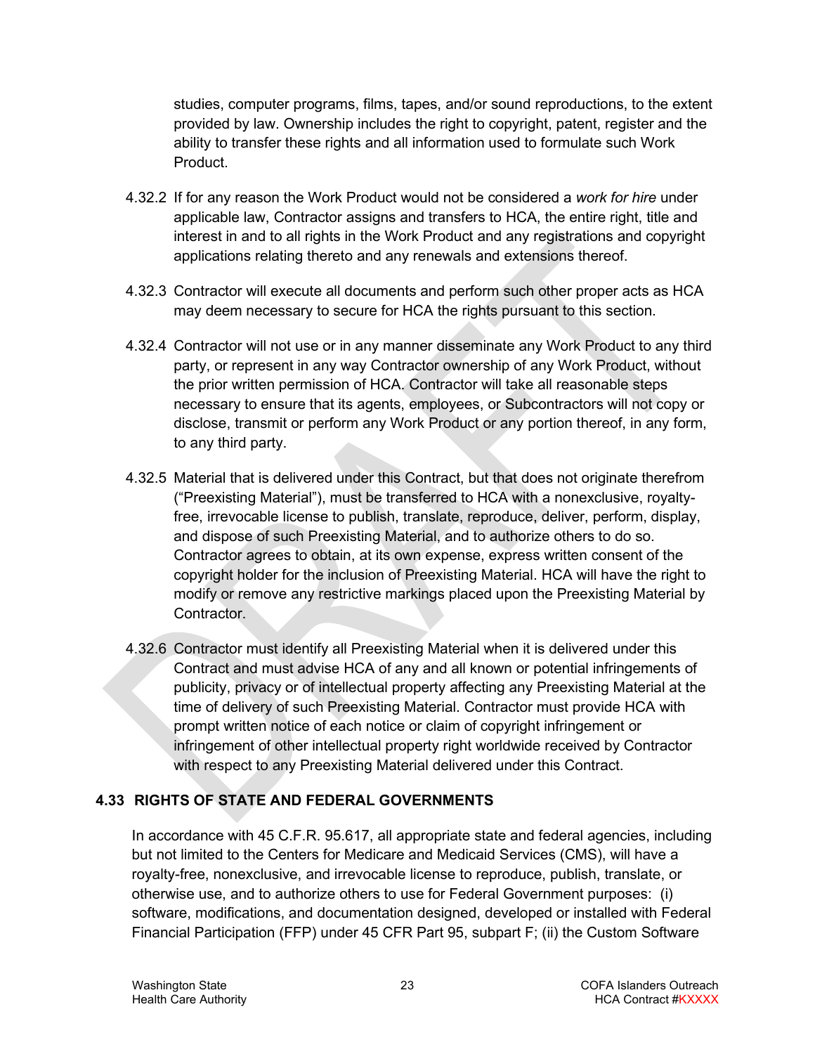studies, computer programs, films, tapes, and/or sound reproductions, to the extent provided by law. Ownership includes the right to copyright, patent, register and the ability to transfer these rights and all information used to formulate such Work Product.

- 4.32.2 If for any reason the Work Product would not be considered a *work for hire* under applicable law, Contractor assigns and transfers to HCA, the entire right, title and interest in and to all rights in the Work Product and any registrations and copyright applications relating thereto and any renewals and extensions thereof.
- 4.32.3 Contractor will execute all documents and perform such other proper acts as HCA may deem necessary to secure for HCA the rights pursuant to this section.
- 4.32.4 Contractor will not use or in any manner disseminate any Work Product to any third party, or represent in any way Contractor ownership of any Work Product, without the prior written permission of HCA. Contractor will take all reasonable steps necessary to ensure that its agents, employees, or Subcontractors will not copy or disclose, transmit or perform any Work Product or any portion thereof, in any form, to any third party.
- 4.32.5 Material that is delivered under this Contract, but that does not originate therefrom ("Preexisting Material"), must be transferred to HCA with a nonexclusive, royaltyfree, irrevocable license to publish, translate, reproduce, deliver, perform, display, and dispose of such Preexisting Material, and to authorize others to do so. Contractor agrees to obtain, at its own expense, express written consent of the copyright holder for the inclusion of Preexisting Material. HCA will have the right to modify or remove any restrictive markings placed upon the Preexisting Material by Contractor.
- 4.32.6 Contractor must identify all Preexisting Material when it is delivered under this Contract and must advise HCA of any and all known or potential infringements of publicity, privacy or of intellectual property affecting any Preexisting Material at the time of delivery of such Preexisting Material. Contractor must provide HCA with prompt written notice of each notice or claim of copyright infringement or infringement of other intellectual property right worldwide received by Contractor with respect to any Preexisting Material delivered under this Contract.

### <span id="page-22-0"></span>**4.33 RIGHTS OF STATE AND FEDERAL GOVERNMENTS**

In accordance with 45 C.F.R. 95.617, all appropriate state and federal agencies, including but not limited to the Centers for Medicare and Medicaid Services (CMS), will have a royalty-free, nonexclusive, and irrevocable license to reproduce, publish, translate, or otherwise use, and to authorize others to use for Federal Government purposes: (i) software, modifications, and documentation designed, developed or installed with Federal Financial Participation (FFP) under 45 CFR Part 95, subpart F; (ii) the Custom Software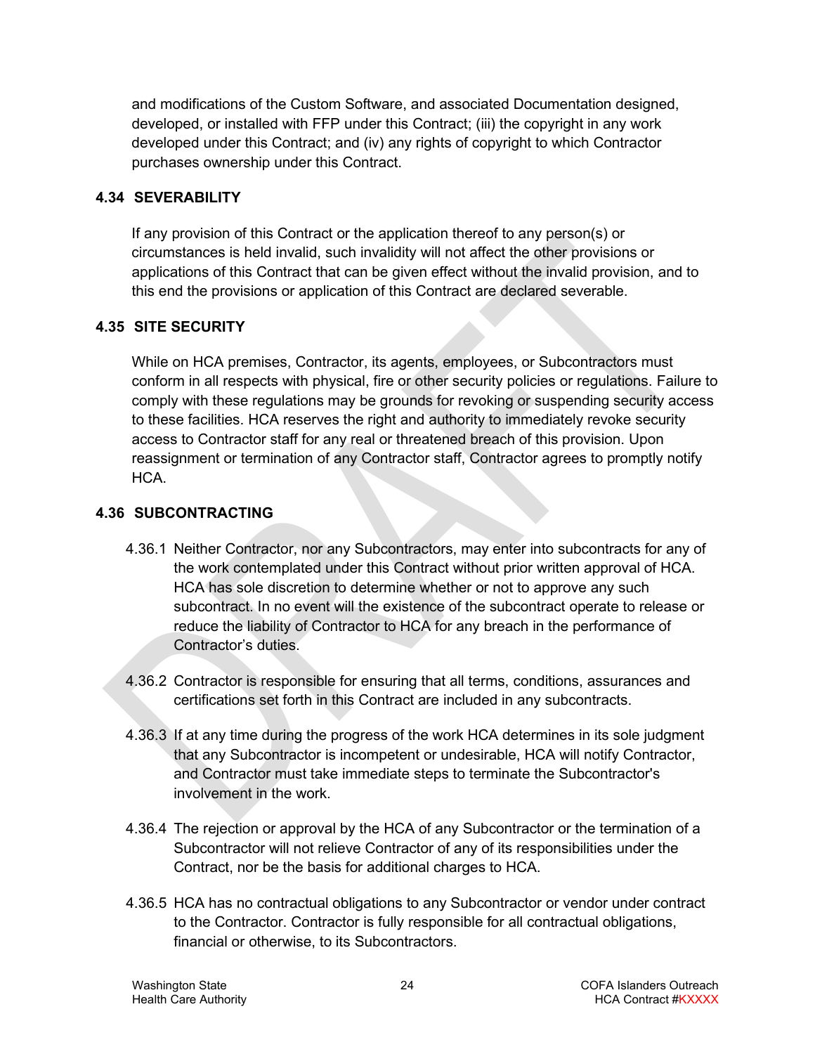and modifications of the Custom Software, and associated Documentation designed, developed, or installed with FFP under this Contract; (iii) the copyright in any work developed under this Contract; and (iv) any rights of copyright to which Contractor purchases ownership under this Contract.

### <span id="page-23-0"></span>**4.34 SEVERABILITY**

If any provision of this Contract or the application thereof to any person(s) or circumstances is held invalid, such invalidity will not affect the other provisions or applications of this Contract that can be given effect without the invalid provision, and to this end the provisions or application of this Contract are declared severable.

# <span id="page-23-1"></span>**4.35 SITE SECURITY**

While on HCA premises, Contractor, its agents, employees, or Subcontractors must conform in all respects with physical, fire or other security policies or regulations. Failure to comply with these regulations may be grounds for revoking or suspending security access to these facilities. HCA reserves the right and authority to immediately revoke security access to Contractor staff for any real or threatened breach of this provision. Upon reassignment or termination of any Contractor staff, Contractor agrees to promptly notify HCA.

# <span id="page-23-2"></span>**4.36 SUBCONTRACTING**

- 4.36.1 Neither Contractor, nor any Subcontractors, may enter into subcontracts for any of the work contemplated under this Contract without prior written approval of HCA. HCA has sole discretion to determine whether or not to approve any such subcontract. In no event will the existence of the subcontract operate to release or reduce the liability of Contractor to HCA for any breach in the performance of Contractor's duties.
- 4.36.2 Contractor is responsible for ensuring that all terms, conditions, assurances and certifications set forth in this Contract are included in any subcontracts.
- 4.36.3 If at any time during the progress of the work HCA determines in its sole judgment that any Subcontractor is incompetent or undesirable, HCA will notify Contractor, and Contractor must take immediate steps to terminate the Subcontractor's involvement in the work.
- 4.36.4 The rejection or approval by the HCA of any Subcontractor or the termination of a Subcontractor will not relieve Contractor of any of its responsibilities under the Contract, nor be the basis for additional charges to HCA.
- 4.36.5 HCA has no contractual obligations to any Subcontractor or vendor under contract to the Contractor. Contractor is fully responsible for all contractual obligations, financial or otherwise, to its Subcontractors.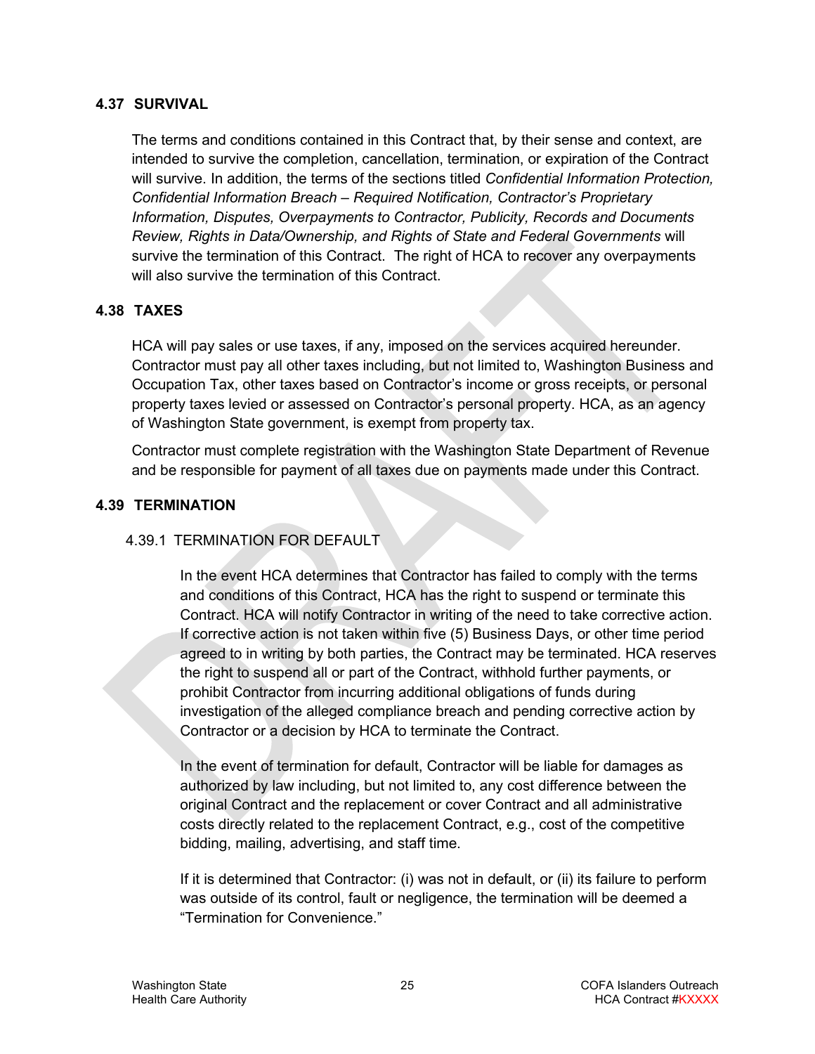#### <span id="page-24-0"></span>**4.37 SURVIVAL**

The terms and conditions contained in this Contract that, by their sense and context, are intended to survive the completion, cancellation, termination, or expiration of the Contract will survive. In addition, the terms of the sections titled *Confidential Information Protection, Confidential Information Breach – Required Notification, Contractor's Proprietary Information, Disputes, Overpayments to Contractor, Publicity, Records and Documents Review, Rights in Data/Ownership, and Rights of State and Federal Governments* will survive the termination of this Contract. The right of HCA to recover any overpayments will also survive the termination of this Contract.

#### <span id="page-24-1"></span>**4.38 TAXES**

HCA will pay sales or use taxes, if any, imposed on the services acquired hereunder. Contractor must pay all other taxes including, but not limited to, Washington Business and Occupation Tax, other taxes based on Contractor's income or gross receipts, or personal property taxes levied or assessed on Contractor's personal property. HCA, as an agency of Washington State government, is exempt from property tax.

Contractor must complete registration with the Washington State Department of Revenue and be responsible for payment of all taxes due on payments made under this Contract.

#### <span id="page-24-2"></span>**4.39 TERMINATION**

#### 4.39.1 TERMINATION FOR DEFAULT

In the event HCA determines that Contractor has failed to comply with the terms and conditions of this Contract, HCA has the right to suspend or terminate this Contract. HCA will notify Contractor in writing of the need to take corrective action. If corrective action is not taken within five (5) Business Days, or other time period agreed to in writing by both parties, the Contract may be terminated. HCA reserves the right to suspend all or part of the Contract, withhold further payments, or prohibit Contractor from incurring additional obligations of funds during investigation of the alleged compliance breach and pending corrective action by Contractor or a decision by HCA to terminate the Contract.

In the event of termination for default, Contractor will be liable for damages as authorized by law including, but not limited to, any cost difference between the original Contract and the replacement or cover Contract and all administrative costs directly related to the replacement Contract, e.g., cost of the competitive bidding, mailing, advertising, and staff time.

If it is determined that Contractor: (i) was not in default, or (ii) its failure to perform was outside of its control, fault or negligence, the termination will be deemed a "Termination for Convenience."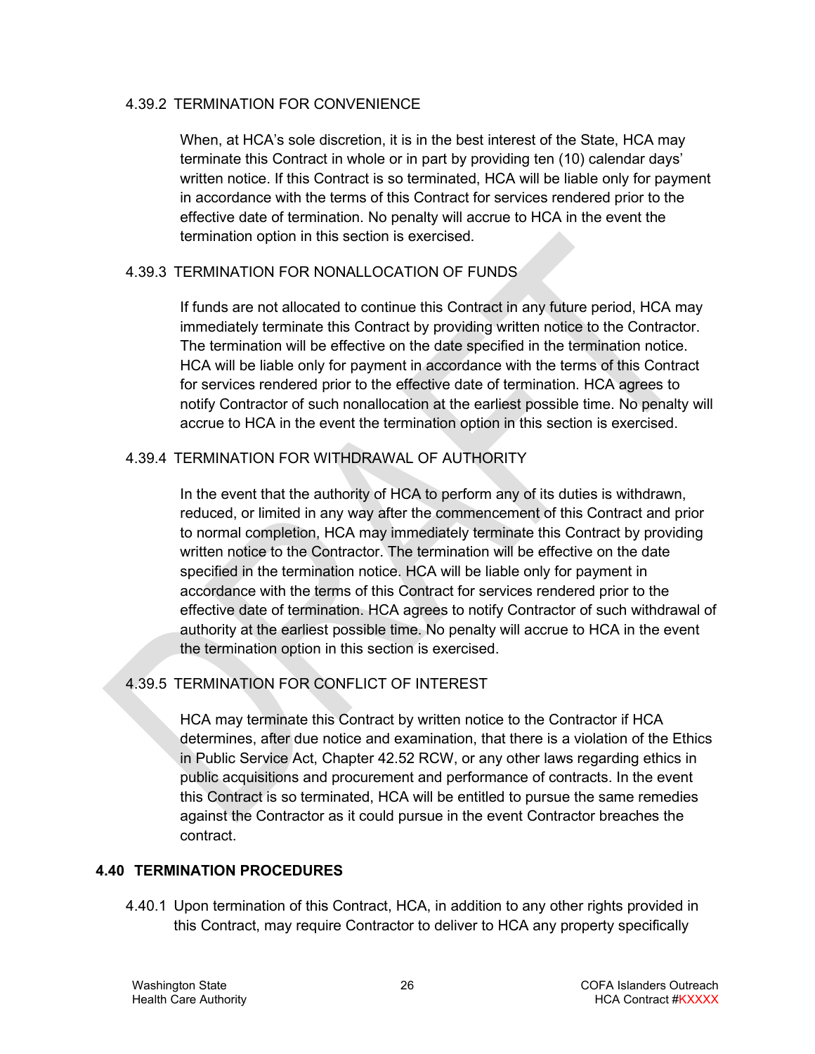#### 4.39.2 TERMINATION FOR CONVENIENCE

When, at HCA's sole discretion, it is in the best interest of the State, HCA may terminate this Contract in whole or in part by providing ten (10) calendar days' written notice. If this Contract is so terminated, HCA will be liable only for payment in accordance with the terms of this Contract for services rendered prior to the effective date of termination. No penalty will accrue to HCA in the event the termination option in this section is exercised.

#### <span id="page-25-1"></span>4.39.3 TERMINATION FOR NONALLOCATION OF FUNDS

If funds are not allocated to continue this Contract in any future period, HCA may immediately terminate this Contract by providing written notice to the Contractor. The termination will be effective on the date specified in the termination notice. HCA will be liable only for payment in accordance with the terms of this Contract for services rendered prior to the effective date of termination. HCA agrees to notify Contractor of such nonallocation at the earliest possible time. No penalty will accrue to HCA in the event the termination option in this section is exercised.

#### 4.39.4 TERMINATION FOR WITHDRAWAL OF AUTHORITY

In the event that the authority of HCA to perform any of its duties is withdrawn, reduced, or limited in any way after the commencement of this Contract and prior to normal completion, HCA may immediately terminate this Contract by providing written notice to the Contractor. The termination will be effective on the date specified in the termination notice. HCA will be liable only for payment in accordance with the terms of this Contract for services rendered prior to the effective date of termination. HCA agrees to notify Contractor of such withdrawal of authority at the earliest possible time. No penalty will accrue to HCA in the event the termination option in this section is exercised.

### 4.39.5 TERMINATION FOR CONFLICT OF INTEREST

HCA may terminate this Contract by written notice to the Contractor if HCA determines, after due notice and examination, that there is a violation of the Ethics in Public Service Act, Chapter 42.52 RCW, or any other laws regarding ethics in public acquisitions and procurement and performance of contracts. In the event this Contract is so terminated, HCA will be entitled to pursue the same remedies against the Contractor as it could pursue in the event Contractor breaches the contract.

#### <span id="page-25-0"></span>**4.40 TERMINATION PROCEDURES**

4.40.1 Upon termination of this Contract, HCA, in addition to any other rights provided in this Contract, may require Contractor to deliver to HCA any property specifically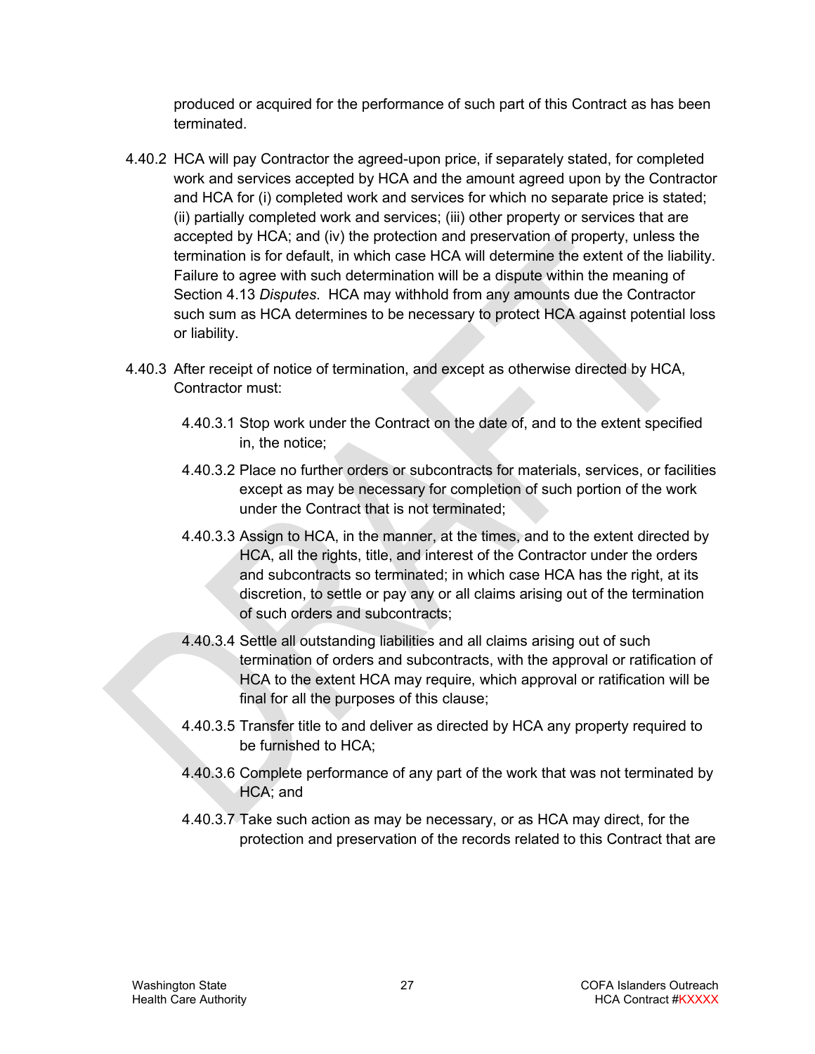produced or acquired for the performance of such part of this Contract as has been terminated.

- 4.40.2 HCA will pay Contractor the agreed-upon price, if separately stated, for completed work and services accepted by HCA and the amount agreed upon by the Contractor and HCA for (i) completed work and services for which no separate price is stated; (ii) partially completed work and services; (iii) other property or services that are accepted by HCA; and (iv) the protection and preservation of property, unless the termination is for default, in which case HCA will determine the extent of the liability. Failure to agree with such determination will be a dispute within the meaning of Section [4.13](#page-16-0) *Disputes*. HCA may withhold from any amounts due the Contractor such sum as HCA determines to be necessary to protect HCA against potential loss or liability.
- 4.40.3 After receipt of notice of termination, and except as otherwise directed by HCA, Contractor must:
	- 4.40.3.1 Stop work under the Contract on the date of, and to the extent specified in, the notice;
	- 4.40.3.2 Place no further orders or subcontracts for materials, services, or facilities except as may be necessary for completion of such portion of the work under the Contract that is not terminated;
	- 4.40.3.3 Assign to HCA, in the manner, at the times, and to the extent directed by HCA, all the rights, title, and interest of the Contractor under the orders and subcontracts so terminated; in which case HCA has the right, at its discretion, to settle or pay any or all claims arising out of the termination of such orders and subcontracts;
	- 4.40.3.4 Settle all outstanding liabilities and all claims arising out of such termination of orders and subcontracts, with the approval or ratification of HCA to the extent HCA may require, which approval or ratification will be final for all the purposes of this clause;
	- 4.40.3.5 Transfer title to and deliver as directed by HCA any property required to be furnished to HCA;
	- 4.40.3.6 Complete performance of any part of the work that was not terminated by HCA; and
	- 4.40.3.7 Take such action as may be necessary, or as HCA may direct, for the protection and preservation of the records related to this Contract that are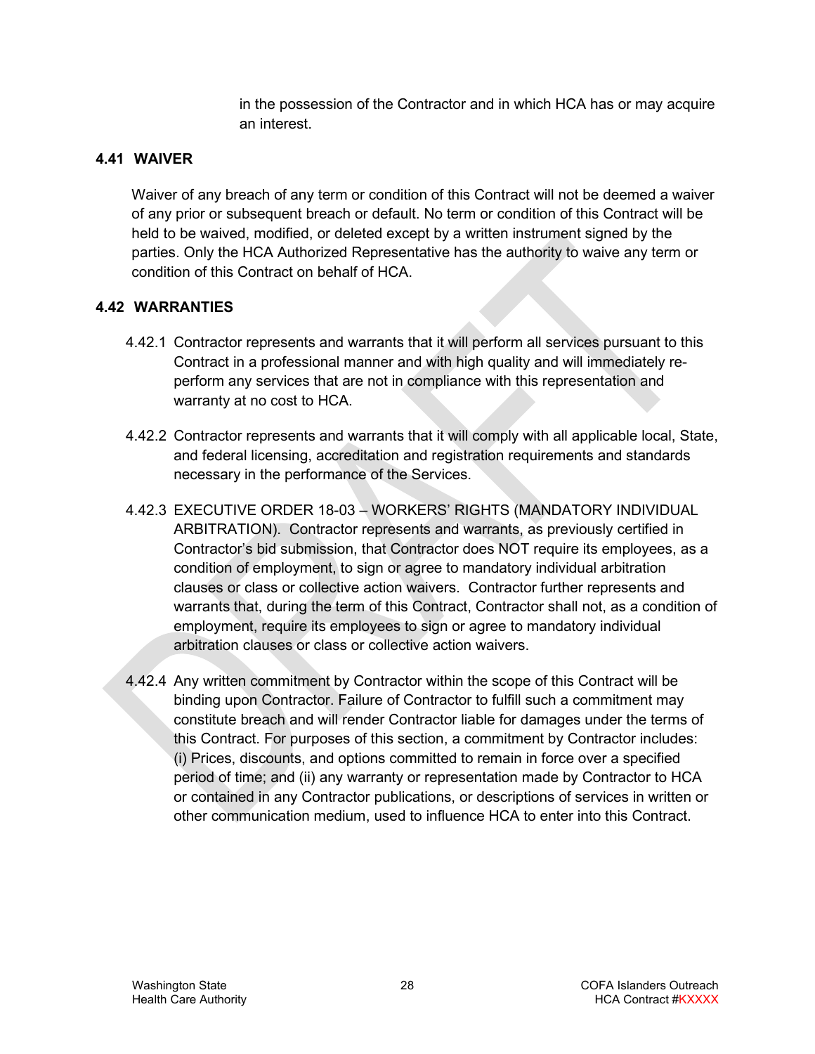in the possession of the Contractor and in which HCA has or may acquire an interest.

### <span id="page-27-0"></span>**4.41 WAIVER**

Waiver of any breach of any term or condition of this Contract will not be deemed a waiver of any prior or subsequent breach or default. No term or condition of this Contract will be held to be waived, modified, or deleted except by a written instrument signed by the parties. Only the HCA Authorized Representative has the authority to waive any term or condition of this Contract on behalf of HCA.

### <span id="page-27-1"></span>**4.42 WARRANTIES**

- 4.42.1 Contractor represents and warrants that it will perform all services pursuant to this Contract in a professional manner and with high quality and will immediately reperform any services that are not in compliance with this representation and warranty at no cost to HCA.
- 4.42.2 Contractor represents and warrants that it will comply with all applicable local, State, and federal licensing, accreditation and registration requirements and standards necessary in the performance of the Services.
- 4.42.3 EXECUTIVE ORDER 18-03 WORKERS' RIGHTS (MANDATORY INDIVIDUAL ARBITRATION). Contractor represents and warrants, as previously certified in Contractor's bid submission, that Contractor does NOT require its employees, as a condition of employment, to sign or agree to mandatory individual arbitration clauses or class or collective action waivers. Contractor further represents and warrants that, during the term of this Contract, Contractor shall not, as a condition of employment, require its employees to sign or agree to mandatory individual arbitration clauses or class or collective action waivers.
- 4.42.4 Any written commitment by Contractor within the scope of this Contract will be binding upon Contractor. Failure of Contractor to fulfill such a commitment may constitute breach and will render Contractor liable for damages under the terms of this Contract. For purposes of this section, a commitment by Contractor includes: (i) Prices, discounts, and options committed to remain in force over a specified period of time; and (ii) any warranty or representation made by Contractor to HCA or contained in any Contractor publications, or descriptions of services in written or other communication medium, used to influence HCA to enter into this Contract.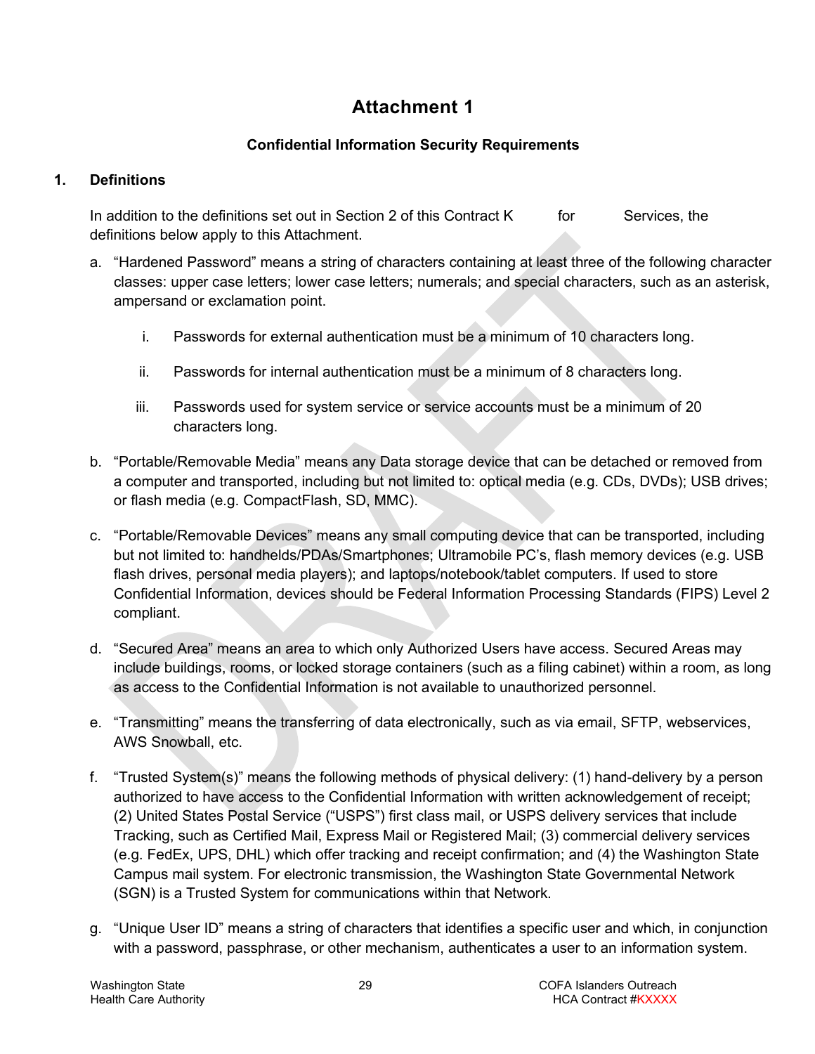# **Attachment 1**

# **Confidential Information Security Requirements**

# **1. Definitions**

In addition to the definitions set out in Section [2](#page-3-2) of this Contract  $K$  for Services, the definitions below apply to this Attachment.

- a. "Hardened Password" means a string of characters containing at least three of the following character classes: upper case letters; lower case letters; numerals; and special characters, such as an asterisk, ampersand or exclamation point.
	- i. Passwords for external authentication must be a minimum of 10 characters long.
	- ii. Passwords for internal authentication must be a minimum of 8 characters long.
	- iii. Passwords used for system service or service accounts must be a minimum of 20 characters long.
- b. "Portable/Removable Media" means any Data storage device that can be detached or removed from a computer and transported, including but not limited to: optical media (e.g. CDs, DVDs); USB drives; or flash media (e.g. CompactFlash, SD, MMC).
- c. "Portable/Removable Devices" means any small computing device that can be transported, including but not limited to: handhelds/PDAs/Smartphones; Ultramobile PC's, flash memory devices (e.g. USB flash drives, personal media players); and laptops/notebook/tablet computers. If used to store Confidential Information, devices should be Federal Information Processing Standards (FIPS) Level 2 compliant.
- d. "Secured Area" means an area to which only Authorized Users have access. Secured Areas may include buildings, rooms, or locked storage containers (such as a filing cabinet) within a room, as long as access to the Confidential Information is not available to unauthorized personnel.
- e. "Transmitting" means the transferring of data electronically, such as via email, SFTP, webservices, AWS Snowball, etc.
- f. "Trusted System(s)" means the following methods of physical delivery: (1) hand-delivery by a person authorized to have access to the Confidential Information with written acknowledgement of receipt; (2) United States Postal Service ("USPS") first class mail, or USPS delivery services that include Tracking, such as Certified Mail, Express Mail or Registered Mail; (3) commercial delivery services (e.g. FedEx, UPS, DHL) which offer tracking and receipt confirmation; and (4) the Washington State Campus mail system. For electronic transmission, the Washington State Governmental Network (SGN) is a Trusted System for communications within that Network.
- g. "Unique User ID" means a string of characters that identifies a specific user and which, in conjunction with a password, passphrase, or other mechanism, authenticates a user to an information system.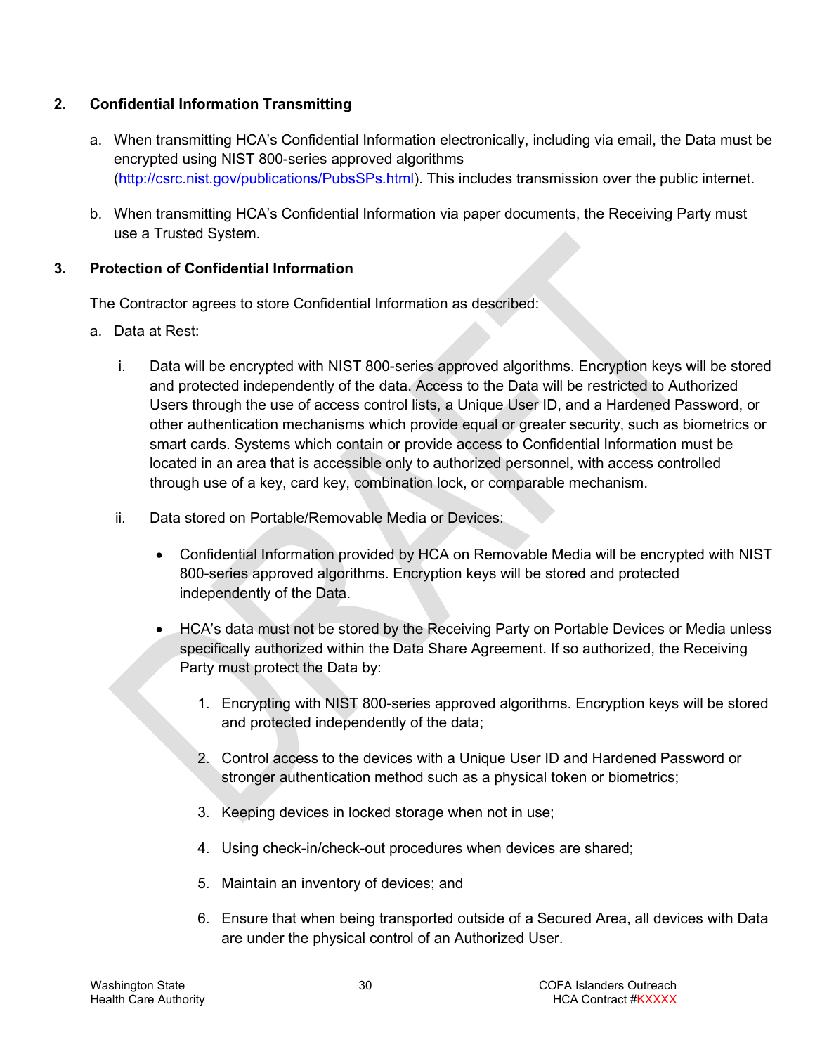### **2. Confidential Information Transmitting**

- a. When transmitting HCA's Confidential Information electronically, including via email, the Data must be encrypted using NIST 800-series approved algorithms [\(http://csrc.nist.gov/publications/PubsSPs.html\)](http://csrc.nist.gov/publications/PubsSPs.html). This includes transmission over the public internet.
- b. When transmitting HCA's Confidential Information via paper documents, the Receiving Party must use a Trusted System.

#### <span id="page-29-0"></span>**3. Protection of Confidential Information**

The Contractor agrees to store Confidential Information as described:

- a. Data at Rest:
	- i. Data will be encrypted with NIST 800-series approved algorithms. Encryption keys will be stored and protected independently of the data. Access to the Data will be restricted to Authorized Users through the use of access control lists, a Unique User ID, and a Hardened Password, or other authentication mechanisms which provide equal or greater security, such as biometrics or smart cards. Systems which contain or provide access to Confidential Information must be located in an area that is accessible only to authorized personnel, with access controlled through use of a key, card key, combination lock, or comparable mechanism.
	- ii. Data stored on Portable/Removable Media or Devices:
		- Confidential Information provided by HCA on Removable Media will be encrypted with NIST 800-series approved algorithms. Encryption keys will be stored and protected independently of the Data.
		- HCA's data must not be stored by the Receiving Party on Portable Devices or Media unless specifically authorized within the Data Share Agreement. If so authorized, the Receiving Party must protect the Data by:
			- 1. Encrypting with NIST 800-series approved algorithms. Encryption keys will be stored and protected independently of the data;
			- 2. Control access to the devices with a Unique User ID and Hardened Password or stronger authentication method such as a physical token or biometrics;
			- 3. Keeping devices in locked storage when not in use;
			- 4. Using check-in/check-out procedures when devices are shared;
			- 5. Maintain an inventory of devices; and
			- 6. Ensure that when being transported outside of a Secured Area, all devices with Data are under the physical control of an Authorized User.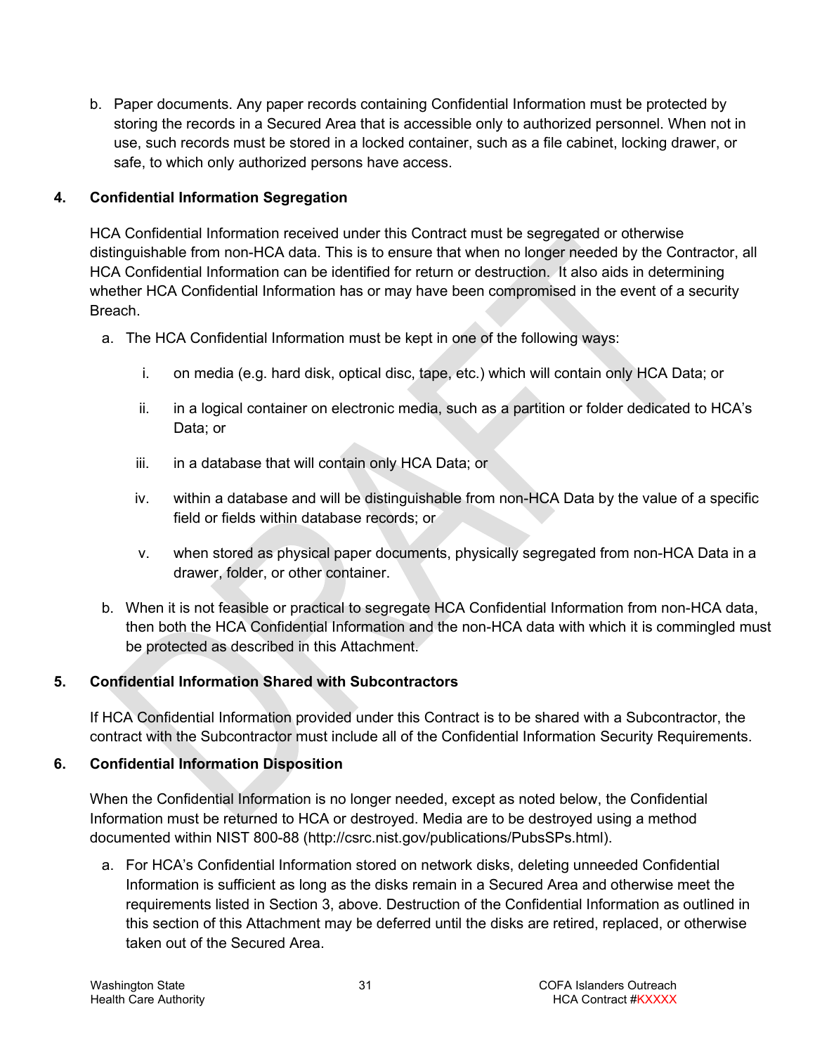b. Paper documents. Any paper records containing Confidential Information must be protected by storing the records in a Secured Area that is accessible only to authorized personnel. When not in use, such records must be stored in a locked container, such as a file cabinet, locking drawer, or safe, to which only authorized persons have access.

# **4. Confidential Information Segregation**

HCA Confidential Information received under this Contract must be segregated or otherwise distinguishable from non-HCA data. This is to ensure that when no longer needed by the Contractor, all HCA Confidential Information can be identified for return or destruction. It also aids in determining whether HCA Confidential Information has or may have been compromised in the event of a security **Breach** 

- a. The HCA Confidential Information must be kept in one of the following ways:
	- i. on media (e.g. hard disk, optical disc, tape, etc.) which will contain only HCA Data; or
	- ii. in a logical container on electronic media, such as a partition or folder dedicated to HCA's Data; or
	- iii. in a database that will contain only HCA Data; or
	- iv. within a database and will be distinguishable from non-HCA Data by the value of a specific field or fields within database records; or
	- v. when stored as physical paper documents, physically segregated from non-HCA Data in a drawer, folder, or other container.
- b. When it is not feasible or practical to segregate HCA Confidential Information from non-HCA data, then both the HCA Confidential Information and the non-HCA data with which it is commingled must be protected as described in this Attachment.

# **5. Confidential Information Shared with Subcontractors**

If HCA Confidential Information provided under this Contract is to be shared with a Subcontractor, the contract with the Subcontractor must include all of the Confidential Information Security Requirements.

# **6. Confidential Information Disposition**

When the Confidential Information is no longer needed, except as noted below, the Confidential Information must be returned to HCA or destroyed. Media are to be destroyed using a method documented within NIST 800-88 [\(http://csrc.nist.gov/publications/PubsSPs.html\)](http://csrc.nist.gov/publications/PubsSPs.html).

a. For HCA's Confidential Information stored on network disks, deleting unneeded Confidential Information is sufficient as long as the disks remain in a Secured Area and otherwise meet the requirements listed in Section [3,](#page-29-0) above. Destruction of the Confidential Information as outlined in this section of this Attachment may be deferred until the disks are retired, replaced, or otherwise taken out of the Secured Area.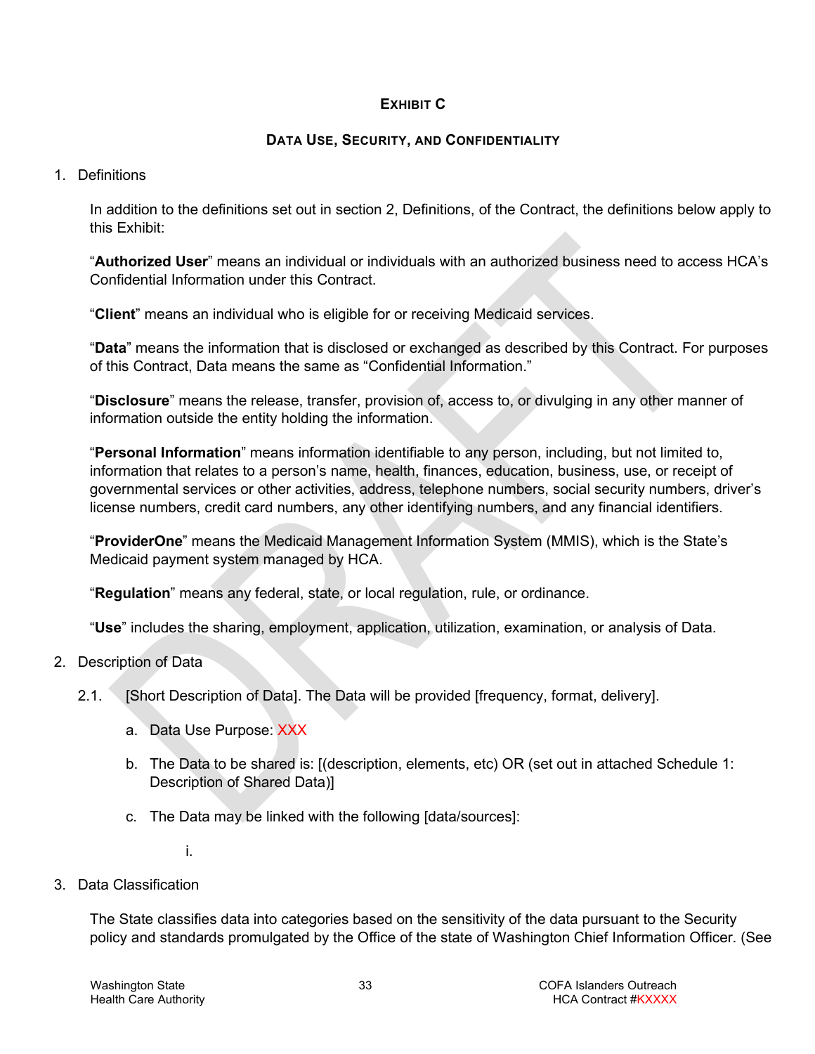#### **EXHIBIT C**

#### **DATA USE, SECURITY, AND CONFIDENTIALITY**

#### 1. Definitions

In addition to the definitions set out in section 2, Definitions, of the Contract, the definitions below apply to this Exhibit:

"**Authorized User**" means an individual or individuals with an authorized business need to access HCA's Confidential Information under this Contract.

"**Client**" means an individual who is eligible for or receiving Medicaid services.

"**Data**" means the information that is disclosed or exchanged as described by this Contract. For purposes of this Contract, Data means the same as "Confidential Information."

"**Disclosure**" means the release, transfer, provision of, access to, or divulging in any other manner of information outside the entity holding the information.

"**Personal Information**" means information identifiable to any person, including, but not limited to, information that relates to a person's name, health, finances, education, business, use, or receipt of governmental services or other activities, address, telephone numbers, social security numbers, driver's license numbers, credit card numbers, any other identifying numbers, and any financial identifiers.

"**ProviderOne**" means the Medicaid Management Information System (MMIS), which is the State's Medicaid payment system managed by HCA.

"**Regulation**" means any federal, state, or local regulation, rule, or ordinance.

"**Use**" includes the sharing, employment, application, utilization, examination, or analysis of Data.

- 2. Description of Data
	- 2.1. [Short Description of Data]. The Data will be provided [frequency, format, delivery].
		- a. Data Use Purpose: XXX
		- b. The Data to be shared is: [(description, elements, etc) OR (set out in attached Schedule 1: Description of Shared Data)]
		- c. The Data may be linked with the following [data/sources]:

i.

3. Data Classification

The State classifies data into categories based on the sensitivity of the data pursuant to the Security policy and standards promulgated by the Office of the state of Washington Chief Information Officer. (See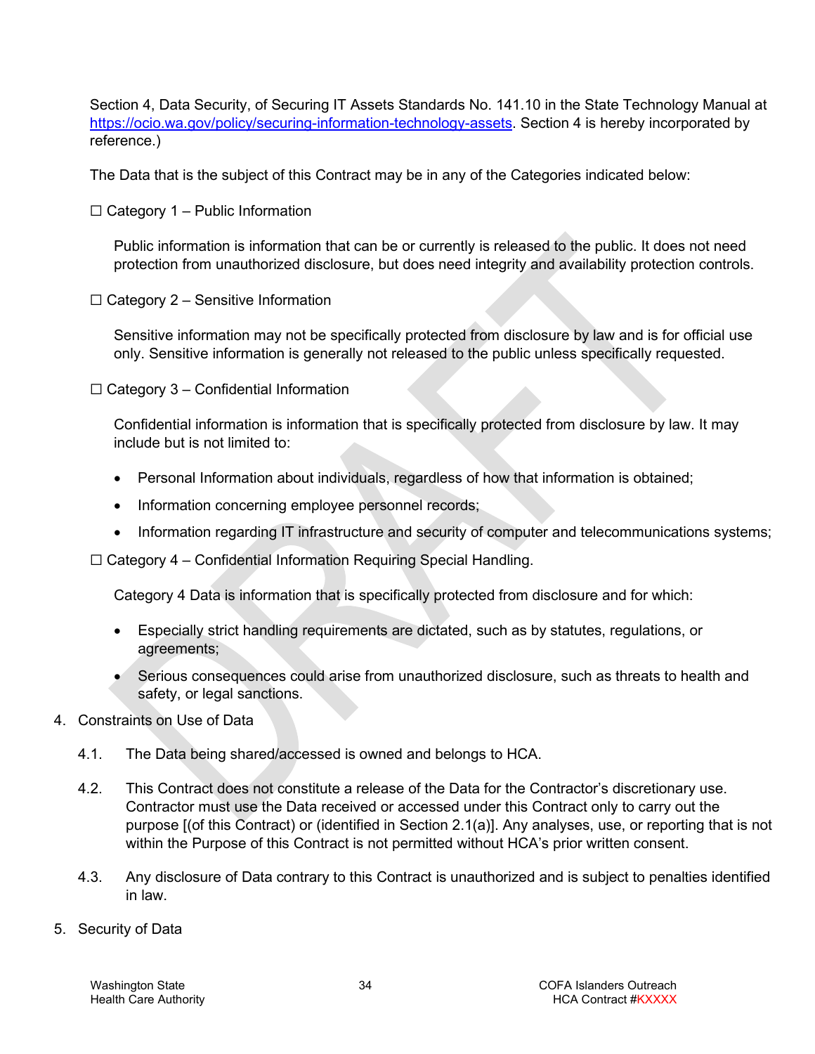Section 4, Data Security, of Securing IT Assets Standards No. 141.10 in the State Technology Manual at [https://ocio.wa.gov/policy/securing-information-technology-assets.](https://ocio.wa.gov/policy/securing-information-technology-assets) Section 4 is hereby incorporated by reference.)

The Data that is the subject of this Contract may be in any of the Categories indicated below:

 $\Box$  Category 1 – Public Information

Public information is information that can be or currently is released to the public. It does not need protection from unauthorized disclosure, but does need integrity and availability protection controls.

 $\Box$  Category 2 – Sensitive Information

Sensitive information may not be specifically protected from disclosure by law and is for official use only. Sensitive information is generally not released to the public unless specifically requested.

 $\Box$  Category 3 – Confidential Information

Confidential information is information that is specifically protected from disclosure by law. It may include but is not limited to:

- Personal Information about individuals, regardless of how that information is obtained;
- Information concerning employee personnel records;
- Information regarding IT infrastructure and security of computer and telecommunications systems;

 $\Box$  Category 4 – Confidential Information Requiring Special Handling.

Category 4 Data is information that is specifically protected from disclosure and for which:

- Especially strict handling requirements are dictated, such as by statutes, regulations, or agreements;
- Serious consequences could arise from unauthorized disclosure, such as threats to health and safety, or legal sanctions.
- 4. Constraints on Use of Data
	- 4.1. The Data being shared/accessed is owned and belongs to HCA.
	- 4.2. This Contract does not constitute a release of the Data for the Contractor's discretionary use. Contractor must use the Data received or accessed under this Contract only to carry out the purpose [(of this Contract) or (identified in Section 2.1(a)]. Any analyses, use, or reporting that is not within the Purpose of this Contract is not permitted without HCA's prior written consent.
	- 4.3. Any disclosure of Data contrary to this Contract is unauthorized and is subject to penalties identified in law.
- 5. Security of Data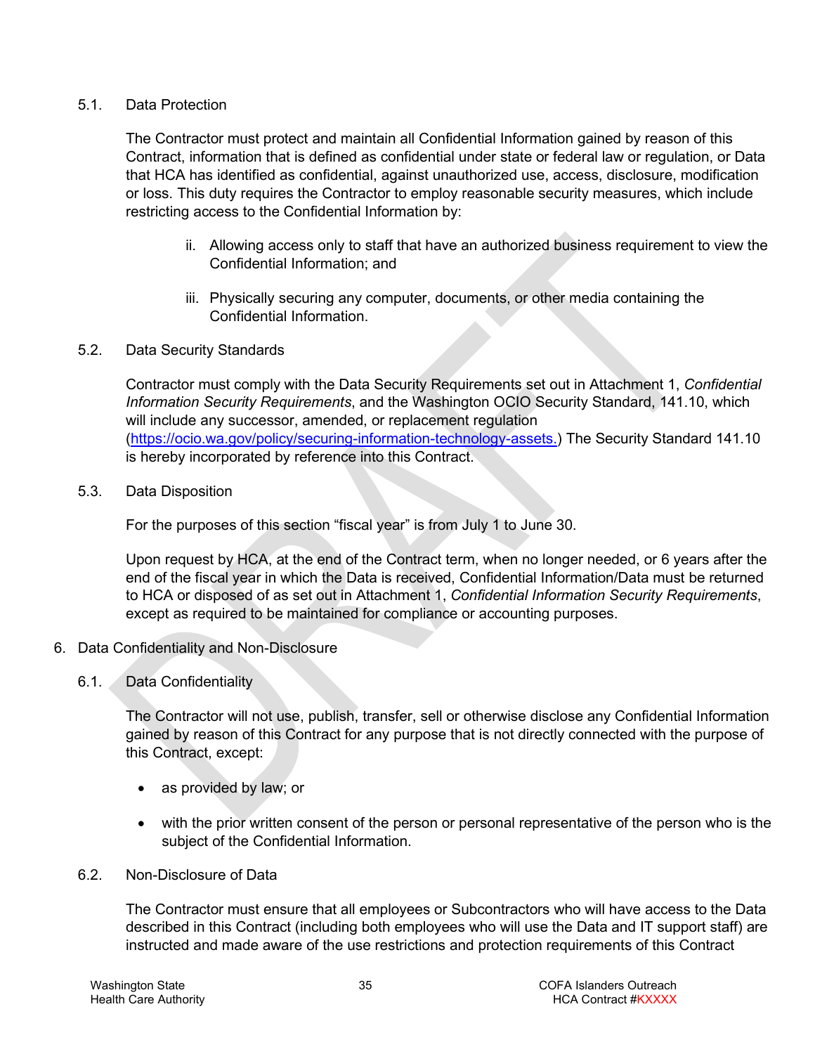#### 5.1. Data Protection

The Contractor must protect and maintain all Confidential Information gained by reason of this Contract, information that is defined as confidential under state or federal law or regulation, or Data that HCA has identified as confidential, against unauthorized use, access, disclosure, modification or loss. This duty requires the Contractor to employ reasonable security measures, which include restricting access to the Confidential Information by:

- ii. Allowing access only to staff that have an authorized business requirement to view the Confidential Information; and
- iii. Physically securing any computer, documents, or other media containing the Confidential Information.

### 5.2. Data Security Standards

Contractor must comply with the Data Security Requirements set out in Attachment 1, *Confidential Information Security Requirements*, and the Washington OCIO Security Standard, 141.10, which will include any successor, amended, or replacement regulation [\(https://ocio.wa.gov/policy/securing-information-technology-assets.](https://ocio.wa.gov/policy/securing-information-technology-assets)) The Security Standard 141.10 is hereby incorporated by reference into this Contract.

#### <span id="page-34-0"></span>5.3. Data Disposition

For the purposes of this section "fiscal year" is from July 1 to June 30.

Upon request by HCA, at the end of the Contract term, when no longer needed, or 6 years after the end of the fiscal year in which the Data is received, Confidential Information/Data must be returned to HCA or disposed of as set out in Attachment 1, *Confidential Information Security Requirements*, except as required to be maintained for compliance or accounting purposes.

- 6. Data Confidentiality and Non-Disclosure
	- 6.1. Data Confidentiality

The Contractor will not use, publish, transfer, sell or otherwise disclose any Confidential Information gained by reason of this Contract for any purpose that is not directly connected with the purpose of this Contract, except:

- as provided by law; or
- with the prior written consent of the person or personal representative of the person who is the subject of the Confidential Information.
- 6.2. Non-Disclosure of Data

The Contractor must ensure that all employees or Subcontractors who will have access to the Data described in this Contract (including both employees who will use the Data and IT support staff) are instructed and made aware of the use restrictions and protection requirements of this Contract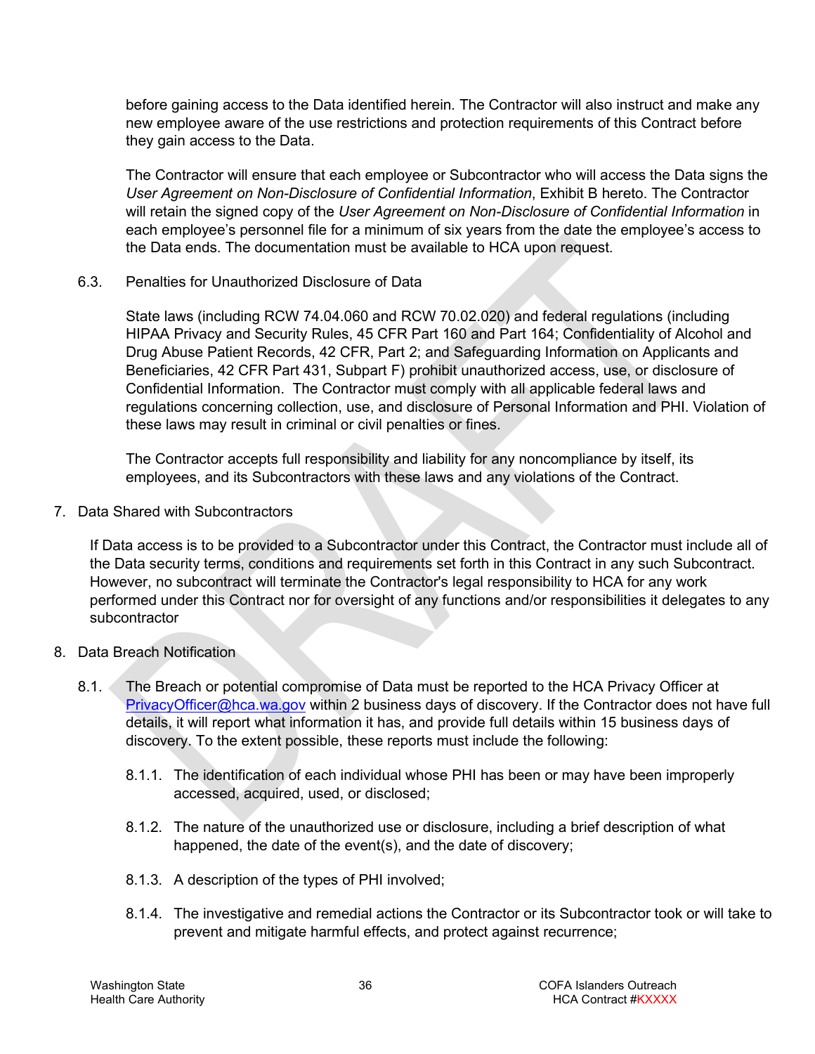before gaining access to the Data identified herein. The Contractor will also instruct and make any new employee aware of the use restrictions and protection requirements of this Contract before they gain access to the Data.

The Contractor will ensure that each employee or Subcontractor who will access the Data signs the *User Agreement on Non-Disclosure of Confidential Information*, Exhibit B hereto. The Contractor will retain the signed copy of the *User Agreement on Non-Disclosure of Confidential Information* in each employee's personnel file for a minimum of six years from the date the employee's access to the Data ends. The documentation must be available to HCA upon request.

6.3. Penalties for Unauthorized Disclosure of Data

State laws (including RCW 74.04.060 and RCW 70.02.020) and federal regulations (including HIPAA Privacy and Security Rules, 45 CFR Part 160 and Part 164; Confidentiality of Alcohol and Drug Abuse Patient Records, 42 CFR, Part 2; and Safeguarding Information on Applicants and Beneficiaries, 42 CFR Part 431, Subpart F) prohibit unauthorized access, use, or disclosure of Confidential Information. The Contractor must comply with all applicable federal laws and regulations concerning collection, use, and disclosure of Personal Information and PHI. Violation of these laws may result in criminal or civil penalties or fines.

The Contractor accepts full responsibility and liability for any noncompliance by itself, its employees, and its Subcontractors with these laws and any violations of the Contract.

7. Data Shared with Subcontractors

If Data access is to be provided to a Subcontractor under this Contract, the Contractor must include all of the Data security terms, conditions and requirements set forth in this Contract in any such Subcontract. However, no subcontract will terminate the Contractor's legal responsibility to HCA for any work performed under this Contract nor for oversight of any functions and/or responsibilities it delegates to any subcontractor

- 8. Data Breach Notification
	- 8.1. The Breach or potential compromise of Data must be reported to the HCA Privacy Officer at [PrivacyOfficer@hca.wa.gov](mailto:PrivacyOfficer@hca.wa.gov) within 2 business days of discovery. If the Contractor does not have full details, it will report what information it has, and provide full details within 15 business days of discovery. To the extent possible, these reports must include the following:
		- 8.1.1. The identification of each individual whose PHI has been or may have been improperly accessed, acquired, used, or disclosed;
		- 8.1.2. The nature of the unauthorized use or disclosure, including a brief description of what happened, the date of the event(s), and the date of discovery;
		- 8.1.3. A description of the types of PHI involved;
		- 8.1.4. The investigative and remedial actions the Contractor or its Subcontractor took or will take to prevent and mitigate harmful effects, and protect against recurrence;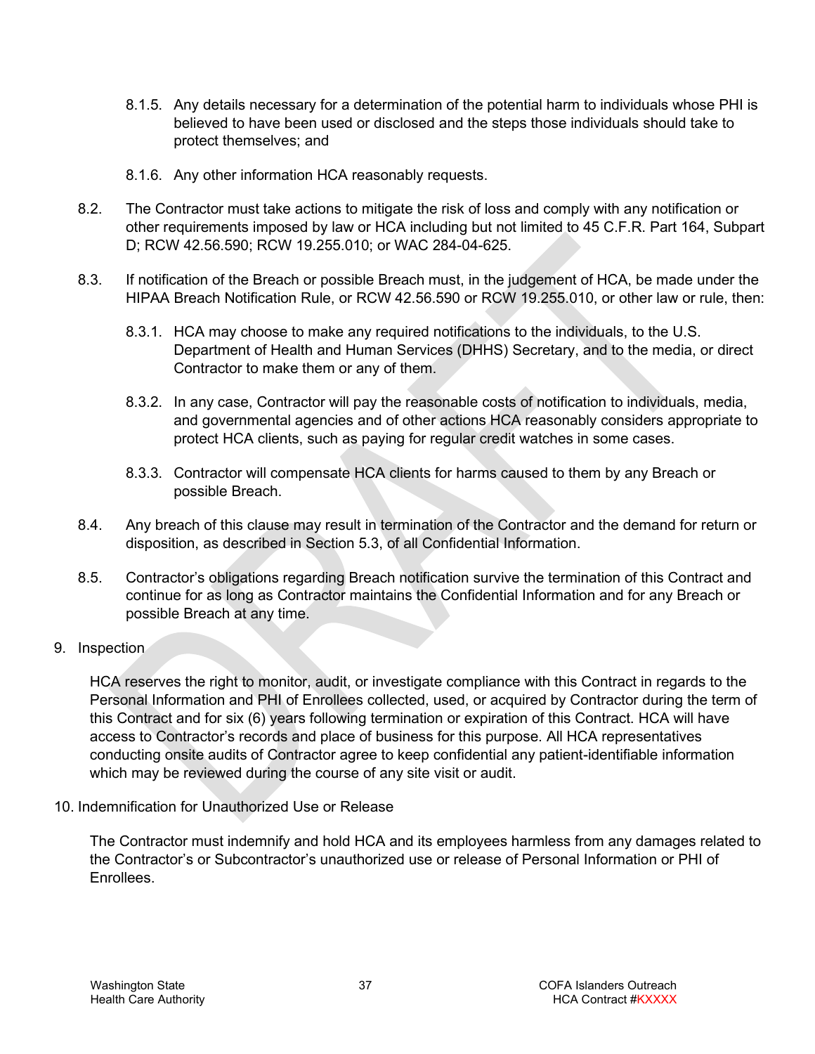- 8.1.5. Any details necessary for a determination of the potential harm to individuals whose PHI is believed to have been used or disclosed and the steps those individuals should take to protect themselves; and
- 8.1.6. Any other information HCA reasonably requests.
- 8.2. The Contractor must take actions to mitigate the risk of loss and comply with any notification or other requirements imposed by law or HCA including but not limited to 45 C.F.R. Part 164, Subpart D; RCW 42.56.590; RCW 19.255.010; or WAC 284-04-625.
- 8.3. If notification of the Breach or possible Breach must, in the judgement of HCA, be made under the HIPAA Breach Notification Rule, or RCW 42.56.590 or RCW 19.255.010, or other law or rule, then:
	- 8.3.1. HCA may choose to make any required notifications to the individuals, to the U.S. Department of Health and Human Services (DHHS) Secretary, and to the media, or direct Contractor to make them or any of them.
	- 8.3.2. In any case, Contractor will pay the reasonable costs of notification to individuals, media, and governmental agencies and of other actions HCA reasonably considers appropriate to protect HCA clients, such as paying for regular credit watches in some cases.
	- 8.3.3. Contractor will compensate HCA clients for harms caused to them by any Breach or possible Breach.
- 8.4. Any breach of this clause may result in termination of the Contractor and the demand for return or disposition, as described in Section [5.3,](#page-34-0) of all Confidential Information.
- 8.5. Contractor's obligations regarding Breach notification survive the termination of this Contract and continue for as long as Contractor maintains the Confidential Information and for any Breach or possible Breach at any time.

### 9. Inspection

HCA reserves the right to monitor, audit, or investigate compliance with this Contract in regards to the Personal Information and PHI of Enrollees collected, used, or acquired by Contractor during the term of this Contract and for six (6) years following termination or expiration of this Contract. HCA will have access to Contractor's records and place of business for this purpose. All HCA representatives conducting onsite audits of Contractor agree to keep confidential any patient-identifiable information which may be reviewed during the course of any site visit or audit.

10. Indemnification for Unauthorized Use or Release

The Contractor must indemnify and hold HCA and its employees harmless from any damages related to the Contractor's or Subcontractor's unauthorized use or release of Personal Information or PHI of **Enrollees**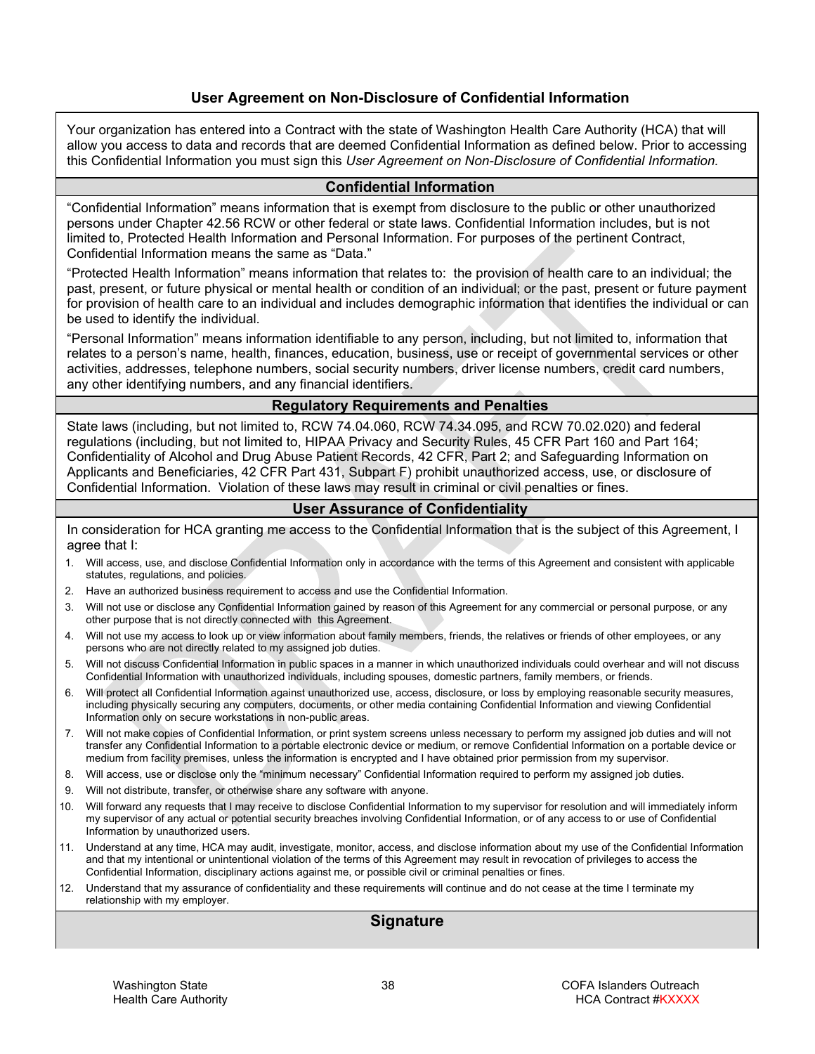#### **User Agreement on Non-Disclosure of Confidential Information**

Your organization has entered into a Contract with the state of Washington Health Care Authority (HCA) that will allow you access to data and records that are deemed Confidential Information as defined below. Prior to accessing this Confidential Information you must sign this *User Agreement on Non-Disclosure of Confidential Information.*

#### **Confidential Information**

"Confidential Information" means information that is exempt from disclosure to the public or other unauthorized persons under Chapter 42.56 RCW or other federal or state laws. Confidential Information includes, but is not limited to, Protected Health Information and Personal Information. For purposes of the pertinent Contract, Confidential Information means the same as "Data."

"Protected Health Information" means information that relates to: the provision of health care to an individual; the past, present, or future physical or mental health or condition of an individual; or the past, present or future payment for provision of health care to an individual and includes demographic information that identifies the individual or can be used to identify the individual.

"Personal Information" means information identifiable to any person, including, but not limited to, information that relates to a person's name, health, finances, education, business, use or receipt of governmental services or other activities, addresses, telephone numbers, social security numbers, driver license numbers, credit card numbers, any other identifying numbers, and any financial identifiers.

#### **Regulatory Requirements and Penalties**

State laws (including, but not limited to, RCW 74.04.060, RCW 74.34.095, and RCW 70.02.020) and federal regulations (including, but not limited to, HIPAA Privacy and Security Rules, 45 CFR Part 160 and Part 164; Confidentiality of Alcohol and Drug Abuse Patient Records, 42 CFR, Part 2; and Safeguarding Information on Applicants and Beneficiaries, 42 CFR Part 431, Subpart F) prohibit unauthorized access, use, or disclosure of Confidential Information. Violation of these laws may result in criminal or civil penalties or fines.

#### **User Assurance of Confidentiality**

In consideration for HCA granting me access to the Confidential Information that is the subject of this Agreement, I agree that I:

- 1. Will access, use, and disclose Confidential Information only in accordance with the terms of this Agreement and consistent with applicable statutes, regulations, and policies.
- 2. Have an authorized business requirement to access and use the Confidential Information.
- 3. Will not use or disclose any Confidential Information gained by reason of this Agreement for any commercial or personal purpose, or any other purpose that is not directly connected with this Agreement.
- 4. Will not use my access to look up or view information about family members, friends, the relatives or friends of other employees, or any persons who are not directly related to my assigned job duties.
- 5. Will not discuss Confidential Information in public spaces in a manner in which unauthorized individuals could overhear and will not discuss Confidential Information with unauthorized individuals, including spouses, domestic partners, family members, or friends.
- 6. Will protect all Confidential Information against unauthorized use, access, disclosure, or loss by employing reasonable security measures, including physically securing any computers, documents, or other media containing Confidential Information and viewing Confidential Information only on secure workstations in non-public areas.
- 7. Will not make copies of Confidential Information, or print system screens unless necessary to perform my assigned job duties and will not transfer any Confidential Information to a portable electronic device or medium, or remove Confidential Information on a portable device or medium from facility premises, unless the information is encrypted and I have obtained prior permission from my supervisor.
- 8. Will access, use or disclose only the "minimum necessary" Confidential Information required to perform my assigned job duties.
- 9. Will not distribute, transfer, or otherwise share any software with anyone.
- 10. Will forward any requests that I may receive to disclose Confidential Information to my supervisor for resolution and will immediately inform my supervisor of any actual or potential security breaches involving Confidential Information, or of any access to or use of Confidential Information by unauthorized users.
- 11. Understand at any time, HCA may audit, investigate, monitor, access, and disclose information about my use of the Confidential Information and that my intentional or unintentional violation of the terms of this Agreement may result in revocation of privileges to access the Confidential Information, disciplinary actions against me, or possible civil or criminal penalties or fines.
- 12. Understand that my assurance of confidentiality and these requirements will continue and do not cease at the time I terminate my relationship with my employer.

#### **Signature**